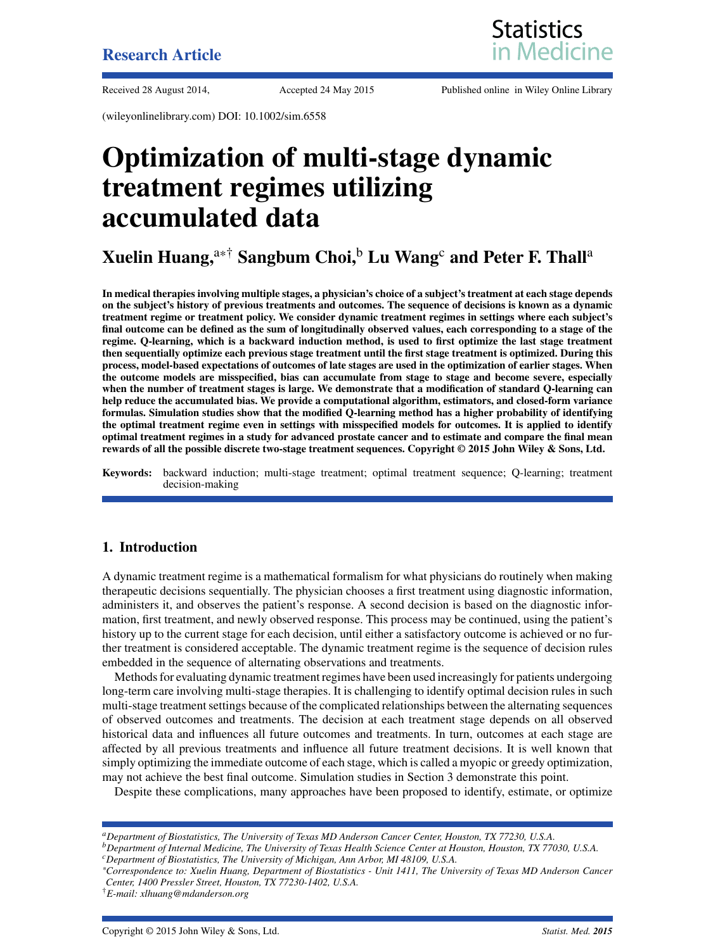

Received 28 August 2014, Accepted 24 May 2015 Published online in Wiley Online Library

(wileyonlinelibrary.com) DOI: 10.1002/sim.6558

# **Optimization of multi-stage dynamic treatment regimes utilizing accumulated data**

### **Xuelin Huang,**a\*† **Sangbum Choi,**<sup>b</sup> **Lu Wang**<sup>c</sup> **and Peter F. Thall**<sup>a</sup>

**In medical therapies involving multiple stages, a physician's choice of a subject's treatment at each stage depends on the subject's history of previous treatments and outcomes. The sequence of decisions is known as a dynamic treatment regime or treatment policy. We consider dynamic treatment regimes in settings where each subject's final outcome can be defined as the sum of longitudinally observed values, each corresponding to a stage of the regime. Q-learning, which is a backward induction method, is used to first optimize the last stage treatment then sequentially optimize each previous stage treatment until the first stage treatment is optimized. During this process, model-based expectations of outcomes of late stages are used in the optimization of earlier stages. When the outcome models are misspecified, bias can accumulate from stage to stage and become severe, especially when the number of treatment stages is large. We demonstrate that a modification of standard Q-learning can help reduce the accumulated bias. We provide a computational algorithm, estimators, and closed-form variance formulas. Simulation studies show that the modified Q-learning method has a higher probability of identifying the optimal treatment regime even in settings with misspecified models for outcomes. It is applied to identify optimal treatment regimes in a study for advanced prostate cancer and to estimate and compare the final mean rewards of all the possible discrete two-stage treatment sequences. Copyright © 2015 John Wiley & Sons, Ltd.**

**Keywords:** backward induction; multi-stage treatment; optimal treatment sequence; Q-learning; treatment decision-making

#### **1. Introduction**

A dynamic treatment regime is a mathematical formalism for what physicians do routinely when making therapeutic decisions sequentially. The physician chooses a first treatment using diagnostic information, administers it, and observes the patient's response. A second decision is based on the diagnostic information, first treatment, and newly observed response. This process may be continued, using the patient's history up to the current stage for each decision, until either a satisfactory outcome is achieved or no further treatment is considered acceptable. The dynamic treatment regime is the sequence of decision rules embedded in the sequence of alternating observations and treatments.

Methods for evaluating dynamic treatment regimes have been used increasingly for patients undergoing long-term care involving multi-stage therapies. It is challenging to identify optimal decision rules in such multi-stage treatment settings because of the complicated relationships between the alternating sequences of observed outcomes and treatments. The decision at each treatment stage depends on all observed historical data and influences all future outcomes and treatments. In turn, outcomes at each stage are affected by all previous treatments and influence all future treatment decisions. It is well known that simply optimizing the immediate outcome of each stage, which is called a myopic or greedy optimization, may not achieve the best final outcome. Simulation studies in Section [3](#page-4-0) demonstrate this point.

Despite these complications, many approaches have been proposed to identify, estimate, or optimize

*aDepartment of Biostatistics, The University of Texas MD Anderson Cancer Center, Houston, TX 77230, U.S.A.*

*bDepartment of Internal Medicine, The University of Texas Health Science Center at Houston, Houston, TX 77030, U.S.A. cDepartment of Biostatistics, The University of Michigan, Ann Arbor, MI 48109, U.S.A.*

*<sup>\*</sup>Correspondence to: Xuelin Huang, Department of Biostatistics - Unit 1411, The University of Texas MD Anderson Cancer Center, 1400 Pressler Street, Houston, TX 77230-1402, U.S.A.*

<sup>†</sup>*E-mail: xlhuang@mdanderson.org*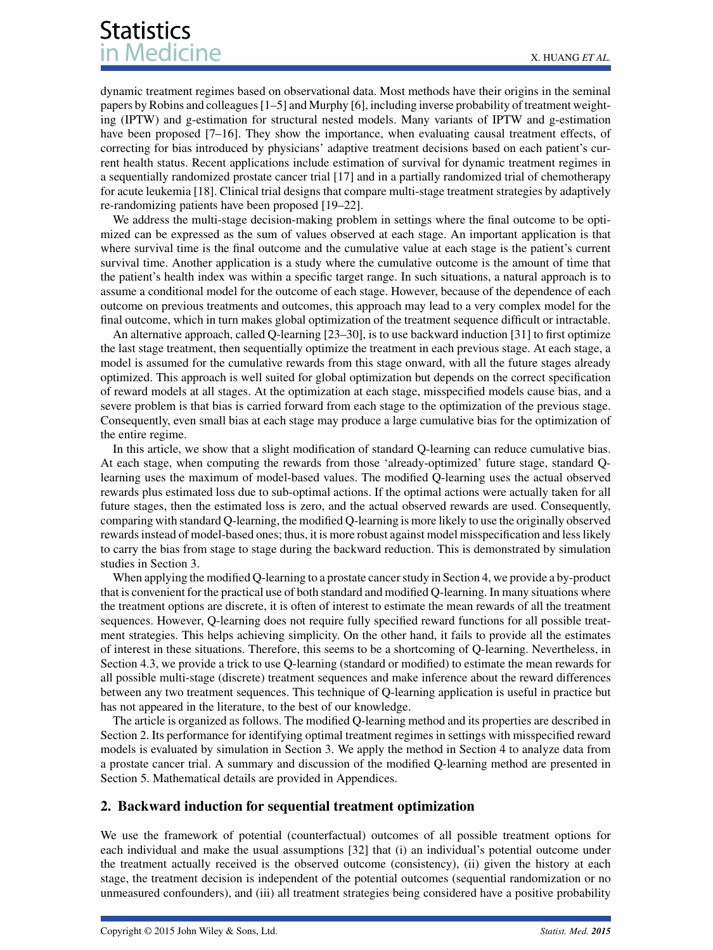dynamic treatment regimes based on observational data. Most methods have their origins in the seminal papers by Robins and colleagues [\[1–](#page-18-0)[5\]](#page-18-1) and Murphy [\[6\]](#page-18-2), including inverse probability of treatment weighting (IPTW) and g-estimation for structural nested models. Many variants of IPTW and g-estimation have been proposed [\[7–](#page-18-3)[16\]](#page-18-4). They show the importance, when evaluating causal treatment effects, of correcting for bias introduced by physicians' adaptive treatment decisions based on each patient's current health status. Recent applications include estimation of survival for dynamic treatment regimes in a sequentially randomized prostate cancer trial [\[17\]](#page-19-0) and in a partially randomized trial of chemotherapy for acute leukemia [\[18\]](#page-19-1). Clinical trial designs that compare multi-stage treatment strategies by adaptively re-randomizing patients have been proposed [\[19](#page-19-2)[–22\]](#page-19-3).

We address the multi-stage decision-making problem in settings where the final outcome to be optimized can be expressed as the sum of values observed at each stage. An important application is that where survival time is the final outcome and the cumulative value at each stage is the patient's current survival time. Another application is a study where the cumulative outcome is the amount of time that the patient's health index was within a specific target range. In such situations, a natural approach is to assume a conditional model for the outcome of each stage. However, because of the dependence of each outcome on previous treatments and outcomes, this approach may lead to a very complex model for the final outcome, which in turn makes global optimization of the treatment sequence difficult or intractable.

An alternative approach, called Q-learning [\[23](#page-19-4)[–30\]](#page-19-5), is to use backward induction [\[31\]](#page-19-6) to first optimize the last stage treatment, then sequentially optimize the treatment in each previous stage. At each stage, a model is assumed for the cumulative rewards from this stage onward, with all the future stages already optimized. This approach is well suited for global optimization but depends on the correct specification of reward models at all stages. At the optimization at each stage, misspecified models cause bias, and a severe problem is that bias is carried forward from each stage to the optimization of the previous stage. Consequently, even small bias at each stage may produce a large cumulative bias for the optimization of the entire regime.

In this article, we show that a slight modification of standard Q-learning can reduce cumulative bias. At each stage, when computing the rewards from those 'already-optimized' future stage, standard Qlearning uses the maximum of model-based values. The modified Q-learning uses the actual observed rewards plus estimated loss due to sub-optimal actions. If the optimal actions were actually taken for all future stages, then the estimated loss is zero, and the actual observed rewards are used. Consequently, comparing with standard Q-learning, the modified Q-learning is more likely to use the originally observed rewards instead of model-based ones; thus, it is more robust against model misspecification and less likely to carry the bias from stage to stage during the backward reduction. This is demonstrated by simulation studies in Section [3.](#page-4-0)

When applying the modified Q-learning to a prostate cancer study in Section [4,](#page-10-0) we provide a by-product that is convenient for the practical use of both standard and modified Q-learning. In many situations where the treatment options are discrete, it is often of interest to estimate the mean rewards of all the treatment sequences. However, Q-learning does not require fully specified reward functions for all possible treatment strategies. This helps achieving simplicity. On the other hand, it fails to provide all the estimates of interest in these situations. Therefore, this seems to be a shortcoming of Q-learning. Nevertheless, in Section [4.3,](#page-11-0) we provide a trick to use Q-learning (standard or modified) to estimate the mean rewards for all possible multi-stage (discrete) treatment sequences and make inference about the reward differences between any two treatment sequences. This technique of Q-learning application is useful in practice but has not appeared in the literature, to the best of our knowledge.

The article is organized as follows. The modified Q-learning method and its properties are described in Section [2.](#page-1-0) Its performance for identifying optimal treatment regimes in settings with misspecified reward models is evaluated by simulation in Section [3.](#page-4-0) We apply the method in Section [4](#page-10-0) to analyze data from a prostate cancer trial. A summary and discussion of the modified Q-learning method are presented in Section [5.](#page-13-0) Mathematical details are provided in Appendices.

#### <span id="page-1-0"></span>**2. Backward induction for sequential treatment optimization**

We use the framework of potential (counterfactual) outcomes of all possible treatment options for each individual and make the usual assumptions [\[32\]](#page-19-7) that (i) an individual's potential outcome under the treatment actually received is the observed outcome (consistency), (ii) given the history at each stage, the treatment decision is independent of the potential outcomes (sequential randomization or no unmeasured confounders), and (iii) all treatment strategies being considered have a positive probability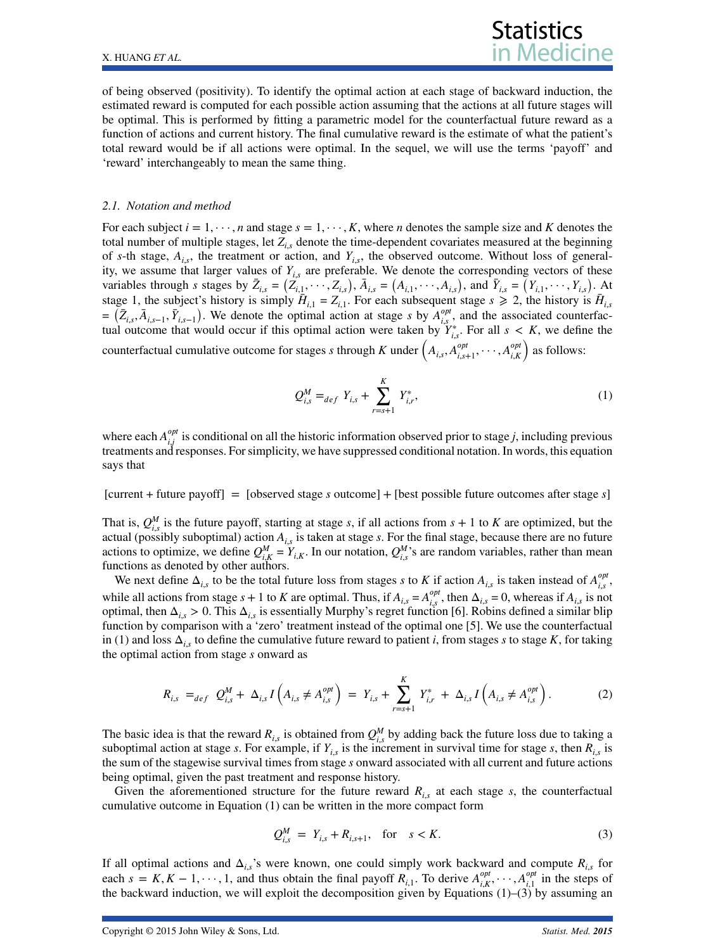of being observed (positivity). To identify the optimal action at each stage of backward induction, the estimated reward is computed for each possible action assuming that the actions at all future stages will be optimal. This is performed by fitting a parametric model for the counterfactual future reward as a function of actions and current history. The final cumulative reward is the estimate of what the patient's total reward would be if all actions were optimal. In the sequel, we will use the terms 'payoff' and 'reward' interchangeably to mean the same thing.

#### *2.1. Notation and method*

For each subject  $i = 1, \dots, n$  and stage  $s = 1, \dots, K$ , where *n* denotes the sample size and *K* denotes the total number of multiple stages, let  $Z_i$ <sup>*s*</sup> denote the time-dependent covariates measured at the beginning of *s*-th stage,  $A_{i,s}$ , the treatment or action, and  $Y_{i,s}$ , the observed outcome. Without loss of generality, we assume that larger values of  $Y_{i,s}$  are preferable. We denote the corresponding vectors of these variables through s stages by  $\bar{Z}_{i,s} = (\bar{Z}_{i,1}, \cdots, Z_{i,s}), \bar{A}_{i,s} = (A_{i,1}, \cdots, A_{i,s}),$  and  $\bar{Y}_{i,s} = (Y_{i,1}, \cdots, Y_{i,s}).$  At stage 1, the subject's history is simply  $H_{i,1} = Z_{i,1}$ . For each subsequent stage  $s \ge 2$ , the history is  $H_{i,s}$  $= (\bar{Z}_{i,s}, \bar{A}_{i,s-1}, \bar{Y}_{i,s-1})$ . We denote the optimal action at stage s by  $A_{i,s}^{opt}$ , and the associated counterfactual outcome that would occur if this optimal action were taken by  $Y_{i,s}^*$ . For all  $s < K$ , we define the counterfactual cumulative outcome for stages *s* through *K* under  $(A_{i,s}, A_{i,s+1}^{opt}, \dots, A_{i,K}^{opt})$ ) as follows:

<span id="page-2-0"></span>
$$
Q_{i,s}^M =_{def} Y_{i,s} + \sum_{r=s+1}^K Y_{i,r}^*,
$$
 (1)

where each  $A_{i,j}^{opt}$  is conditional on all the historic information observed prior to stage *j*, including previous treatments and responses. For simplicity, we have suppressed conditional notation. In words, this equation says that

[current + future payoff]=[observed stage *s* outcome]+[best possible future outcomes after stage *s*]

That is,  $Q_{i,s}^M$  is the future payoff, starting at stage *s*, if all actions from  $s + 1$  to *K* are optimized, but the actual (possibly suboptimal) action *Ai,<sup>s</sup>* is taken at stage *s*. For the final stage, because there are no future actions to optimize, we define  $Q_{i,K}^M = Y_{i,K}$ . In our notation,  $Q_{i,s}^M$ 's are random variables, rather than mean functions as denoted by other authors.

We next define  $\Delta_{i,s}$  to be the total future loss from stages *s* to *K* if action  $A_{i,s}$  is taken instead of  $A_{i,s}^{opt}$ , while all actions from stage  $s + 1$  to *K* are optimal. Thus, if  $A_{i,s} = A_{i,s}^{opt}$ , then  $\Delta_{i,s} = 0$ , whereas if  $A_{i,s}$  is not optimal, then  $\Delta_{i,s} > 0$ . This  $\Delta_{i,s}$  is essentially Murphy's regret function [\[6\]](#page-18-2). Robins defined a similar blip function by comparison with a 'zero' treatment instead of the optimal one [\[5\]](#page-18-1). We use the counterfactual in [\(1\)](#page-2-0) and loss  $\Delta_{i,s}$  to define the cumulative future reward to patient *i*, from stages *s* to stage *K*, for taking the optimal action from stage *s* onward as

<span id="page-2-2"></span>
$$
R_{i,s} =_{def} Q_{i,s}^M + \Delta_{i,s} I\left(A_{i,s} \neq A_{i,s}^{opt}\right) = Y_{i,s} + \sum_{r=s+1}^K Y_{i,r}^* + \Delta_{i,s} I\left(A_{i,s} \neq A_{i,s}^{opt}\right).
$$
 (2)

The basic idea is that the reward  $R_{i,s}$  is obtained from  $Q_{i,s}^M$  by adding back the future loss due to taking a suboptimal action at stage *s*. For example, if  $Y_{i,s}$  is the increment in survival time for stage *s*, then  $R_{i,s}$  is the sum of the stagewise survival times from stage *s* onward associated with all current and future actions being optimal, given the past treatment and response history.

Given the aforementioned structure for the future reward  $R_{i,s}$  at each stage *s*, the counterfactual cumulative outcome in Equation [\(1\)](#page-2-0) can be written in the more compact form

<span id="page-2-1"></span>
$$
Q_{i,s}^M = Y_{i,s} + R_{i,s+1}, \text{ for } s < K. \tag{3}
$$

If all optimal actions and  $\Delta_{i,s}$ 's were known, one could simply work backward and compute  $R_{i,s}$  for each  $s = K, K - 1, \dots, 1$ , and thus obtain the final payoff  $R_{i,1}$ . To derive  $A_{i,K}^{opt}, \dots, A_{i,1}^{opt}$  in the steps of the backward induction, we will exploit the decomposition given by Equations  $(1)$ – $(3)$  by assuming an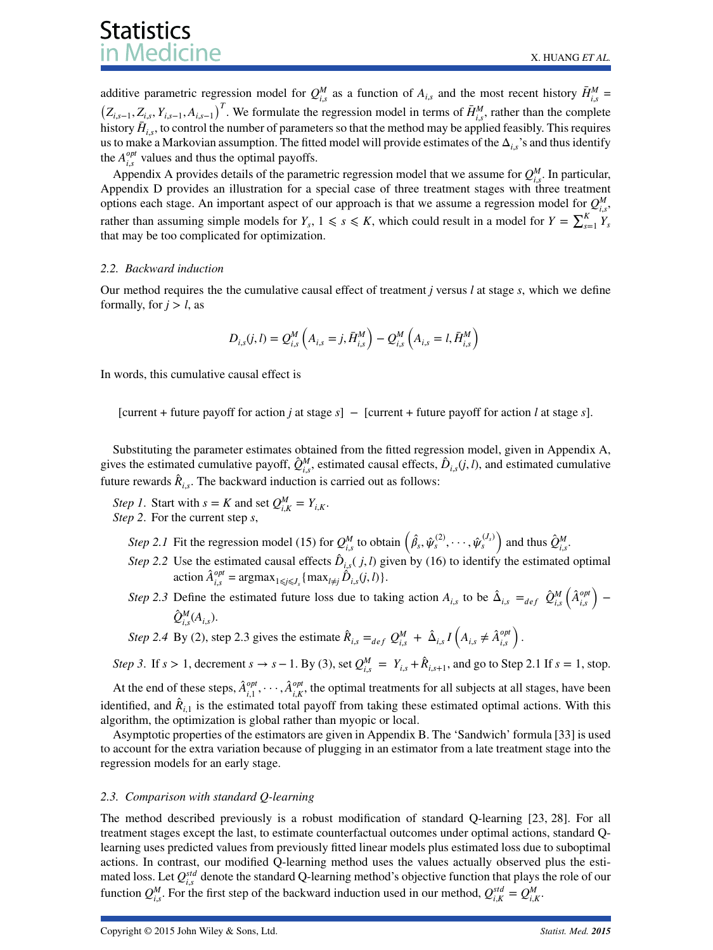additive parametric regression model for  $Q_{i,s}^M$  as a function of  $A_{i,s}$  and the most recent history  $\bar{H}_{i,s}^M = (Z_{i,s-1}, Z_{i,s-1}, A_{i,s-1})^T$ . We formulate the regression model in terms of  $\bar{H}_{i,s}^M$ , rather than the co  $Z_{i,s-1}, Z_{i,s}, Y_{i,s-1}, A_{i,s-1}$ , We formulate the regression model in terms of  $\bar{H}_{i,s}^M$ , rather than the complete history  $\bar{H}_i$ , to control the number of parameters so that the method may be applied feasibly. This requires us to make a Markovian assumption. The fitted model will provide estimates of the  $\Delta_{i,s}$ 's and thus identify the  $A_{i,s}^{opt}$  values and thus the optimal payoffs.

Appendix A provides details of the parametric regression model that we assume for  $Q_{i,s}^M$ . In particular, Appendix D provides an illustration for a special case of three treatment stages with three treatment options each stage. An important aspect of our approach is that we assume a regression model for  $Q_{i,s}^M$ , rather than assuming simple models for  $Y_s$ ,  $1 \le s \le K$ , which could result in a model for  $Y = \sum_{s=1}^K Y_s$ that may be too complicated for optimization.

#### *2.2. Backward induction*

Our method requires the the cumulative causal effect of treatment *j* versus *l* at stage *s,* which we define formally, for  $j > l$ , as

$$
D_{i,s}(j,l) = Q_{i,s}^M\left(A_{i,s} = j, \bar{H}_{i,s}^M\right) - Q_{i,s}^M\left(A_{i,s} = l, \bar{H}_{i,s}^M\right)
$$

In words, this cumulative causal effect is

[current + future payoff for action *j* at stage *s*]−[current + future payoff for action *l* at stage *s*]*.*

Substituting the parameter estimates obtained from the fitted regression model, given in Appendix A, gives the estimated cumulative payoff,  $\hat{Q}^M_{i,s}$ , estimated causal effects,  $\hat{D}_{i,s}(j,l)$ , and estimated cumulative future rewards  $\hat{R}_{i,s}$ . The backward induction is carried out as follows:

*Step 1*. Start with  $s = K$  and set  $Q_{i,K}^M = Y_{i,K}$ . *Step 2*. For the current step *s,*

- Step 2.1 Fit the regression model [\(15\)](#page-13-1) for  $Q_{i,s}^M$  to obtain  $(\hat{\beta}_s, \hat{\psi}_s^{(2)}, \dots, \hat{\psi}_s^{(J_s)})$  and thus  $\hat{Q}_{i,s}^M$ .
- *Step 2.2* Use the estimated causal effects  $\hat{D}_{i,s}(j,l)$  given by [\(16\)](#page-14-0) to identify the estimated optimal  $\hat{A}^{opt}_{i,s} = \text{argmax}_{1 \leq j \leq J_s} \{ \max_{l \neq j} \hat{B}_{i,s}(j,l) \}.$
- *Step 2.3* Define the estimated future loss due to taking action  $A_{i,s}$  to be  $\hat{\Delta}_{i,s} =_{def} \hat{Q}_{i,s}^M$  $\left(\hat{A}^{op}_{i,s}\right)$ ) −  $\hat{Q}^{M}_{i,s}(A_{i,s})$ *.*

Step 2.4 By [\(2\)](#page-2-2), step 2.3 gives the estimate  $\hat{R}_{i,s} =_{def} Q_{i,s}^M + \hat{\Delta}_{i,s} I(A_{i,s} \neq \hat{A}_{i,s}^{opt})$ ) *.*

Step 3. If  $s > 1$ , decrement  $s \to s - 1$ . By [\(3\)](#page-2-1), set  $Q_{i,s}^M = Y_{i,s} + \hat{R}_{i,s+1}$ , and go to Step 2.1 If  $s = 1$ , stop.

At the end of these steps,  $\hat{A}^{opt}_{i,1}, \dots, \hat{A}^{opt}_{i,K}$ , the optimal treatments for all subjects at all stages, have been identified, and  $\hat{R}_{i,1}$  is the estimated total payoff from taking these estimated optimal actions. With this algorithm, the optimization is global rather than myopic or local.

Asymptotic properties of the estimators are given in Appendix B. The 'Sandwich' formula [\[33\]](#page-19-8) is used to account for the extra variation because of plugging in an estimator from a late treatment stage into the regression models for an early stage.

#### *2.3. Comparison with standard Q-learning*

The method described previously is a robust modification of standard Q-learning [\[23,](#page-19-4) [28\]](#page-19-9). For all treatment stages except the last, to estimate counterfactual outcomes under optimal actions, standard Qlearning uses predicted values from previously fitted linear models plus estimated loss due to suboptimal actions. In contrast, our modified Q-learning method uses the values actually observed plus the estimated loss. Let  $Q_{i,s}^{std}$  denote the standard Q-learning method's objective function that plays the role of our function  $Q_{i,s}^M$ . For the first step of the backward induction used in our method,  $Q_{i,K}^{std} = Q_{i,K}^M$ .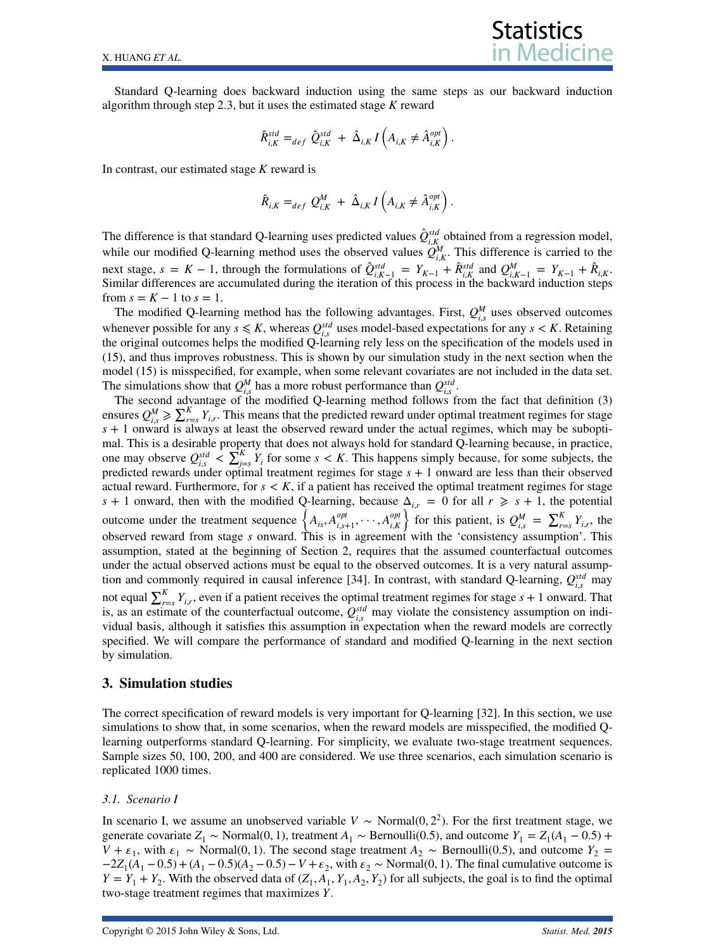Standard Q-learning does backward induction using the same steps as our backward induction algorithm through step 2.3, but it uses the estimated stage *K* reward

$$
\hat{R}_{i,K}^{std} =_{def} \hat{Q}_{i,K}^{std} + \hat{\Delta}_{i,K} I\left(A_{i,K} \neq \hat{A}_{i,K}^{opt}\right).
$$

In contrast, our estimated stage *K* reward is

$$
\hat{R}_{i,K} =_{def} Q_{i,K}^M + \hat{\Delta}_{i,K} I\left(A_{i,K} \neq \hat{A}_{i,K}^{opt}\right).
$$

The difference is that standard Q-learning uses predicted values  $\hat{Q}^{std}_{i,K}$  obtained from a regression model, while our modified Q-learning method uses the observed values  $Q_{i,K}^M$ . This difference is carried to the next stage,  $s = K - 1$ , through the formulations of  $\hat{Q}_{i,K-1}^{std} = Y_{K-1} + \hat{R}_{i,K}^{std}$  and  $Q_{i,K-1}^M = Y_{K-1} + \hat{R}_{i,K}$ . Similar differences are accumulated during the iteration of this process in the backward induction steps from  $s = K - 1$  to  $s = 1$ .

The modified Q-learning method has the following advantages. First,  $Q_{i,s}^M$  uses observed outcomes whenever possible for any  $s \le K$ , whereas  $Q_{i,s}^{std}$  uses model-based expectations for any  $s \le K$ . Retaining the original outcomes helps the modified Q-learning rely less on the specification of the models used in [\(15\)](#page-13-1), and thus improves robustness. This is shown by our simulation study in the next section when the model [\(15\)](#page-13-1) is misspecified, for example, when some relevant covariates are not included in the data set. The simulations show that  $Q_{i,s}^M$  has a more robust performance than  $Q_{i,s}^{std}$ .

The second advantage of the modified Q-learning method follows from the fact that definition [\(3\)](#page-2-1) ensures  $Q_{i,s}^M \ge \sum_{r=s}^K Y_{i,r}$ . This means that the predicted reward under optimal treatment regimes for stage  $s + 1$  onward is always at least the observed reward under the actual regimes, which may be suboptimal. This is a desirable property that does not always hold for standard Q-learning because, in practice, one may observe  $Q_{i,s}^{std} < \sum_{j=s}^{K} Y_j$  for some  $s < K$ . This happens simply because, for some subjects, the predicted rewards under optimal treatment regimes for stage *s* + 1 onward are less than their observed actual reward. Furthermore, for  $s < K$ , if a patient has received the optimal treatment regimes for stage  $s + 1$  onward, then with the modified Q-learning, because  $\Delta_{i,r} = 0$  for all  $r \geq s + 1$ , the potential outcome under the treatment sequence  $\left\{ A_{is}, A_{i,s+1}^{opt}, \cdots, A_{i,K}^{opt} \right\}$  $\left\{\right\}$  for this patient, is  $Q_{i,s}^M = \sum_{r=s}^K Y_{i,r}$ , the observed reward from stage *s* onward. This is in agreement with the 'consistency assumption'. This assumption, stated at the beginning of Section [2,](#page-1-0) requires that the assumed counterfactual outcomes under the actual observed actions must be equal to the observed outcomes. It is a very natural assump-tion and commonly required in causal inference [\[34\]](#page-19-10). In contrast, with standard Q-learning,  $Q_{i,s}^{std}$  may not equal  $\sum_{r=s}^{K} Y_{i,r}$ , even if a patient receives the optimal treatment regimes for stage *s* + 1 onward. That is, as an estimate of the counterfactual outcome,  $Q_{i,s}^{std}$  may violate the consistency assumption on individual basis, although it satisfies this assumption in expectation when the reward models are correctly specified. We will compare the performance of standard and modified Q-learning in the next section by simulation.

#### <span id="page-4-0"></span>**3. Simulation studies**

The correct specification of reward models is very important for Q-learning [\[32\]](#page-19-7). In this section, we use simulations to show that, in some scenarios, when the reward models are misspecified, the modified Qlearning outperforms standard Q-learning. For simplicity, we evaluate two-stage treatment sequences. Sample sizes 50, 100, 200, and 400 are considered. We use three scenarios, each simulation scenario is replicated 1000 times.

#### *3.1. Scenario I*

In scenario I, we assume an unobserved variable  $V \sim \text{Normal}(0, 2^2)$ . For the first treatment stage, we generate covariate  $Z_1 \sim \text{Normal}(0, 1)$ , treatment  $A_1 \sim \text{Bernoulli}(0.5)$ , and outcome  $Y_1 = Z_1(A_1 - 0.5) +$ *V* +  $\varepsilon_1$ , with  $\varepsilon_1$  ∼ Normal(0, 1). The second stage treatment  $A_2$  ∼ Bernoulli(0.5), and outcome  $Y_2$  =  $-2Z_1(A_1 - 0.5) + (A_1 - 0.5)(A_2 - 0.5) - V + \epsilon_2$ , with  $\epsilon_2 \sim \text{Normal}(0, 1)$ . The final cumulative outcome is  $Y = Y_1 + Y_2$ . With the observed data of  $(Z_1, A_1, Y_1, A_2, Y_2)$  for all subjects, the goal is to find the optimal two-stage treatment regimes that maximizes *Y*.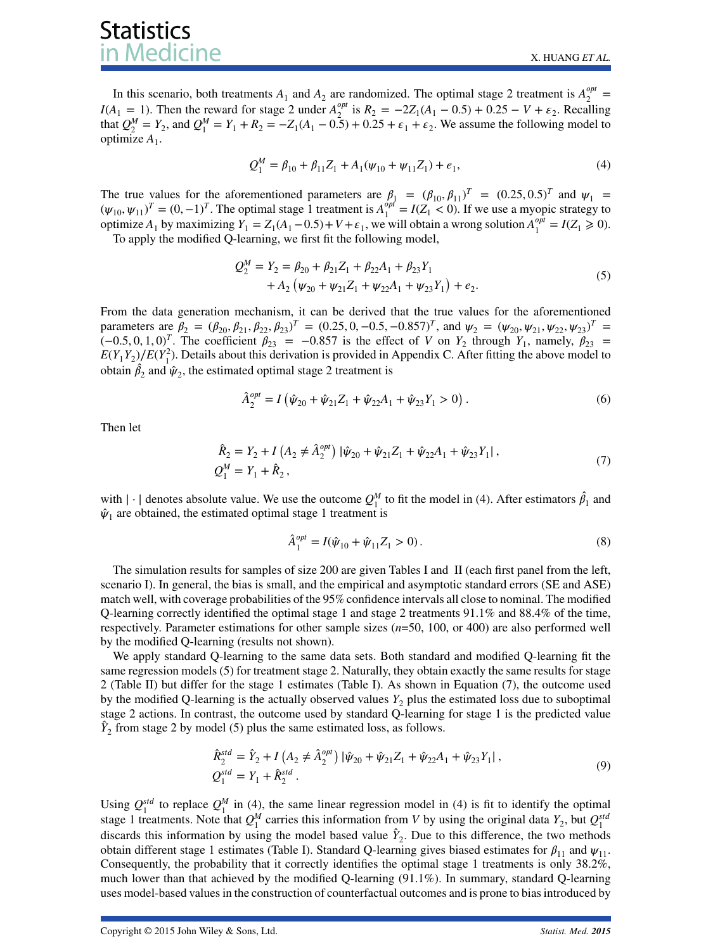In this scenario, both treatments  $A_1$  and  $A_2$  are randomized. The optimal stage 2 treatment is  $A_2^{opt}$ *I*(*A*<sub>1</sub> = 1). Then the reward for stage 2 under  $A_2^{opt}$  is  $R_2 = -2Z_1(A_1 - 0.5) + 0.25 - V + \epsilon_2$ . Recalling that  $Q_2^M = Y_2$ , and  $Q_1^M = Y_1 + R_2 = -Z_1(A_1 - 0.5) + 0.25 + \epsilon_1 + \epsilon_2$ . We assume the following model to optimize  $A_1$ .

<span id="page-5-0"></span>
$$
Q_1^M = \beta_{10} + \beta_{11} Z_1 + A_1(\psi_{10} + \psi_{11} Z_1) + e_1,
$$
\n(4)

The true values for the aforementioned parameters are  $\beta_1 = (\beta_{10}, \beta_{11})^T = (0.25, 0.5)^T$  and  $\psi_1 =$  $(\psi_{10}, \psi_{11})^T = (0, -1)^T$ . The optimal stage 1 treatment is  $A_1^{opt} = I(Z_1 < 0)$ . If we use a myopic strategy to optimize *A*<sub>1</sub> by maximizing *Y*<sub>1</sub> = *Z*<sub>1</sub>(*A*<sub>1</sub> − 0.5) + *V* +  $\epsilon$ <sub>1</sub>, we will obtain a wrong solution  $A_1^{opt} = I(Z_1 \ge 0)$ .

To apply the modified Q-learning, we first fit the following model,

<span id="page-5-1"></span>
$$
Q_2^M = Y_2 = \beta_{20} + \beta_{21} Z_1 + \beta_{22} A_1 + \beta_{23} Y_1 + A_2 (\psi_{20} + \psi_{21} Z_1 + \psi_{22} A_1 + \psi_{23} Y_1) + e_2.
$$
 (5)

From the data generation mechanism, it can be derived that the true values for the aforementioned parameters are  $\beta_2 = (\beta_{20}, \beta_{21}, \beta_{22}, \beta_{23})^T = (0.25, 0, -0.5, -0.857)^T$ , and  $\psi_2 = (\psi_{20}, \psi_{21}, \psi_{22}, \psi_{23})^T =$  $(-0.5, 0, 1, 0)^T$ . The coefficient  $\beta_{23} = -0.857$  is the effect of *V* on  $Y_2$  through  $Y_1$ , namely,  $\beta_{23} =$  $E(Y_1 Y_2)/E(Y_1^2)$ . Details about this derivation is provided in Appendix C. After fitting the above model to obtain  $\hat{\beta}_2$  and  $\hat{\psi}_2$ , the estimated optimal stage 2 treatment is

$$
\hat{A}_2^{opt} = I \left( \hat{\psi}_{20} + \hat{\psi}_{21} Z_1 + \hat{\psi}_{22} A_1 + \hat{\psi}_{23} Y_1 > 0 \right).
$$
 (6)

Then let

<span id="page-5-2"></span>
$$
\hat{R}_2 = Y_2 + I\left(A_2 \neq \hat{A}_2^{\text{opt}}\right) |\hat{\psi}_{20} + \hat{\psi}_{21} Z_1 + \hat{\psi}_{22} A_1 + \hat{\psi}_{23} Y_1|,
$$
\n
$$
Q_1^M = Y_1 + \hat{R}_2,
$$
\n(7)

with  $|\cdot|$  denotes absolute value. We use the outcome  $Q_1^M$  to fit the model in [\(4\)](#page-5-0). After estimators  $\hat{\beta}_1$  and  $\hat{\psi}_1$  are obtained, the estimated optimal stage 1 treatment is

$$
\hat{A}_1^{opt} = I(\hat{\psi}_{10} + \hat{\psi}_{11} Z_1 > 0). \tag{8}
$$

The simulation results for samples of size 200 are given Tables [I](#page-6-0) and [II](#page-7-0) (each first panel from the left, scenario I). In general, the bias is small, and the empirical and asymptotic standard errors (SE and ASE) match well, with coverage probabilities of the 95% confidence intervals all close to nominal. The modified Q-learning correctly identified the optimal stage 1 and stage 2 treatments 91.1% and 88.4% of the time, respectively. Parameter estimations for other sample sizes (*n*=50, 100, or 400) are also performed well by the modified Q-learning (results not shown).

We apply standard Q-learning to the same data sets. Both standard and modified Q-learning fit the same regression models [\(5\)](#page-5-1) for treatment stage 2. Naturally, they obtain exactly the same results for stage 2 (Table [II\)](#page-7-0) but differ for the stage 1 estimates (Table [I\)](#page-6-0). As shown in Equation [\(7\)](#page-5-2), the outcome used by the modified Q-learning is the actually observed values  $Y_2$  plus the estimated loss due to suboptimal stage 2 actions. In contrast, the outcome used by standard Q-learning for stage 1 is the predicted value  $\hat{Y}_2$  from stage 2 by model [\(5\)](#page-5-1) plus the same estimated loss, as follows.

$$
\hat{R}_{2}^{std} = \hat{Y}_{2} + I \left( A_{2} \neq \hat{A}_{2}^{opt} \right) \left| \hat{\psi}_{20} + \hat{\psi}_{21} Z_{1} + \hat{\psi}_{22} A_{1} + \hat{\psi}_{23} Y_{1} \right|,
$$
\n
$$
Q_{1}^{std} = Y_{1} + \hat{R}_{2}^{std}.
$$
\n(9)

Using  $Q_1^{std}$  to replace  $Q_1^M$  in [\(4\)](#page-5-0), the same linear regression model in (4) is fit to identify the optimal stage 1 treatments. Note that  $Q_1^M$  carries this information from *V* by using the original data  $Y_2$ , but  $Q_1^{std}$ discards this information by using the model based value  $\hat{Y}_2$ . Due to this difference, the two methods obtain different stage 1 estimates (Table [I\)](#page-6-0). Standard Q-learning gives biased estimates for  $\beta_{11}$  and  $\psi_{11}$ . Consequently, the probability that it correctly identifies the optimal stage 1 treatments is only 38.2%, much lower than that achieved by the modified Q-learning (91.1%). In summary, standard Q-learning uses model-based values in the construction of counterfactual outcomes and is prone to bias introduced by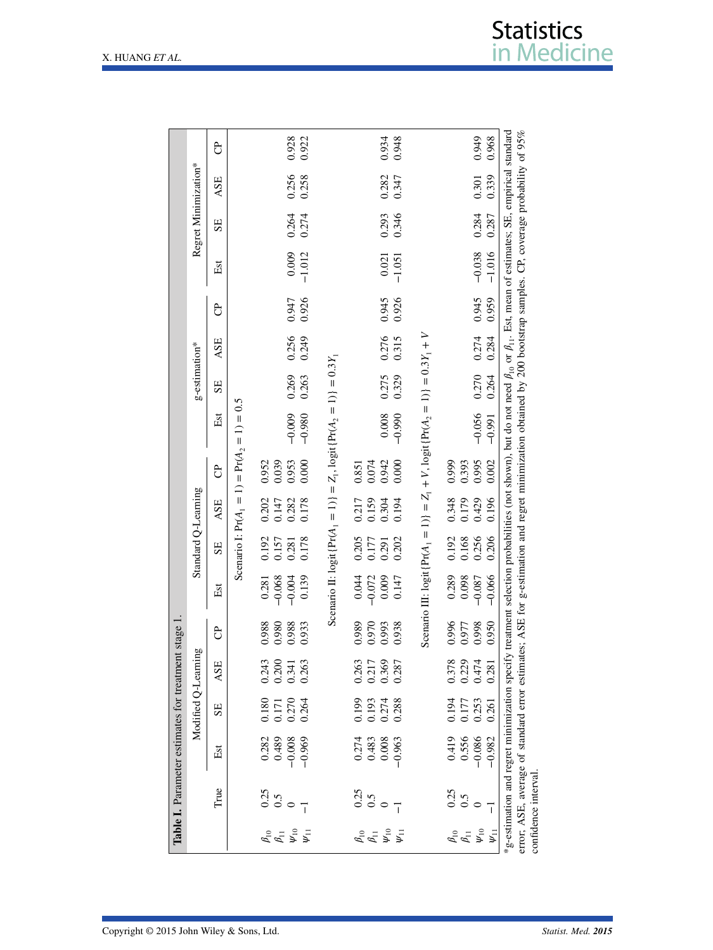<span id="page-6-0"></span>

|                                                                                         |                     | Table I. Parameter estimates for treatment stage 1                                         |                                  | Modified Q-Learning |                |                   |                | Standard Q-Learning |                |                                                                                                                                                                                                                                                                          | g-estimation*  |                |                |                   | Regret Minimization* |                |                |
|-----------------------------------------------------------------------------------------|---------------------|--------------------------------------------------------------------------------------------|----------------------------------|---------------------|----------------|-------------------|----------------|---------------------|----------------|--------------------------------------------------------------------------------------------------------------------------------------------------------------------------------------------------------------------------------------------------------------------------|----------------|----------------|----------------|-------------------|----------------------|----------------|----------------|
|                                                                                         | True                | Est                                                                                        | SE                               | ASE                 | පි             | Est               | SE             | ASE                 | පි             | Est                                                                                                                                                                                                                                                                      | SE             | ASE            | පි             | Est               | SE                   | ASE            | පි             |
|                                                                                         |                     |                                                                                            |                                  |                     |                |                   |                |                     |                | Scenario I: Pr(A <sub>1</sub> = 1) = Pr(A <sub>2</sub> = 1) = 0.5                                                                                                                                                                                                        |                |                |                |                   |                      |                |                |
|                                                                                         | $0.25$<br>0.5       | 0.282<br>0.489                                                                             |                                  | 0.243               | 0.988<br>0.980 | $-0.068$<br>0.281 | 0.192<br>0.157 | 0.202<br>0.147      | 0.952<br>0.039 |                                                                                                                                                                                                                                                                          |                |                |                |                   |                      |                |                |
| $a_{10}$<br>$a_{11}$<br>$a_{10}$<br>$a_{11}$                                            | $\circ$             | $-0.969$<br>$-0.008$                                                                       | 0.180<br>0.171<br>0.270<br>0.264 | 0.341<br>0.263      | 0.988<br>0.933 | 0.139<br>$-0.004$ | 0.178<br>0.281 | 0.178<br>0.282      | 0.953<br>0.000 | $-0.009$<br>$-0.980$                                                                                                                                                                                                                                                     | 0.269<br>0.263 | 0.256<br>0.249 | 0.947<br>0.926 | 0.009<br>$-1.012$ | 0.264<br>0.274       | 0.256<br>0.258 | 0.928<br>0.922 |
|                                                                                         |                     |                                                                                            |                                  |                     |                |                   |                |                     |                |                                                                                                                                                                                                                                                                          |                |                |                |                   |                      |                |                |
|                                                                                         |                     |                                                                                            |                                  |                     |                |                   |                |                     |                | Scenario II: $logit\{Pr(A_1 = 1)\} = Z_1$ , $logit\{Pr(A_2 = 1)\} = 0.3Y_1$                                                                                                                                                                                              |                |                |                |                   |                      |                |                |
|                                                                                         |                     | 0.274                                                                                      | 0.193<br>0.193<br>0.274<br>0.288 | 0.263               | 0.989          | 0.044             | 0.205          | 0.217               | 0.851          |                                                                                                                                                                                                                                                                          |                |                |                |                   |                      |                |                |
| $\begin{array}{c} \mathcal{L}_{10} \\ \mathcal{L}_{11} \\ \mathcal{V}_{10} \end{array}$ | $\frac{0.25}{0.5}$  | 0.483                                                                                      |                                  | 0.217               | 0.970          | $-0.072$          | 0.177          | 0.159               | 0.074          |                                                                                                                                                                                                                                                                          |                |                |                |                   |                      |                |                |
|                                                                                         |                     | 0.008                                                                                      |                                  | 0.369<br>0.287      | 0.993          | 0.009             | 0.291          | 0.304               | 0.942          | 0.008                                                                                                                                                                                                                                                                    | 0.275          | 0.276<br>0.315 | 0.945          | 0.021             | 0.293                | 0.282          | 0.934<br>0.948 |
|                                                                                         |                     | $-0.963$                                                                                   |                                  |                     | 0.938          | 0.147             | 0.202          | 0.194               | 0.000          | $-0.990$                                                                                                                                                                                                                                                                 | 0.329          |                | 0.926          | $-1.051$          | 0.346                | 0.347          |                |
|                                                                                         |                     |                                                                                            |                                  |                     |                |                   |                |                     |                | Scenario III: $logit\{Pr(A_1 = 1)\} = Z_1 + V$ , $logit\{Pr(A_2 = 1)\} = 0.3Y_1 + V$                                                                                                                                                                                     |                |                |                |                   |                      |                |                |
|                                                                                         |                     | 0.419                                                                                      |                                  |                     | 0.996          | 0.289             | 0.192          | 0.348               | 0.999          |                                                                                                                                                                                                                                                                          |                |                |                |                   |                      |                |                |
| $\mathcal{L}_{11}$<br>$\mathcal{L}_{11}$                                                | $\frac{0.25}{0.5}$  | 0.556                                                                                      | 0.194<br>0.177<br>0.253          | 0.378<br>0.229      | 0.977          | 0.098             | 0.168          | 0.179               | 0.393          |                                                                                                                                                                                                                                                                          |                |                |                |                   |                      |                |                |
|                                                                                         |                     | $-0.086$                                                                                   |                                  | 0.474               | 0.998          | $-0.087$          | 0.256          | 0.429               | 0.995          | $-0.056$                                                                                                                                                                                                                                                                 | 0.270          | 0.274          | 0.945          | $-0.038$          | 0.284                | 0.301          | 0.949          |
| $\bar{\mathbf{y}}_{11}$                                                                 |                     | $-0.982$                                                                                   | 0.261                            | 0.281               | 0.950          | $-0.066$          | 0.206          | 0.196               | 0.002          | $-0.991$                                                                                                                                                                                                                                                                 | 0.264          | 0.284          | 0.959          | $-1.016$          | 0.287                | 0.339          | 0.968          |
|                                                                                         | confidence interval | error; ASE, average of standard error estim<br>*g-estimation and regret minimization speci |                                  |                     |                |                   |                |                     |                | fy treatment selection probabilities (not shown), but do not need $\beta_{10}$ or $\beta_{11}$ . Est, mean of estimates; SE, empirical standard<br>ates; ASE for g-estimation and regret minimization obtained by 200 bootstrap samples. CP, coverage probability of 95% |                |                |                |                   |                      |                |                |
|                                                                                         |                     |                                                                                            |                                  |                     |                |                   |                |                     |                |                                                                                                                                                                                                                                                                          |                |                |                |                   |                      |                |                |

X. HUANG *ET AL.*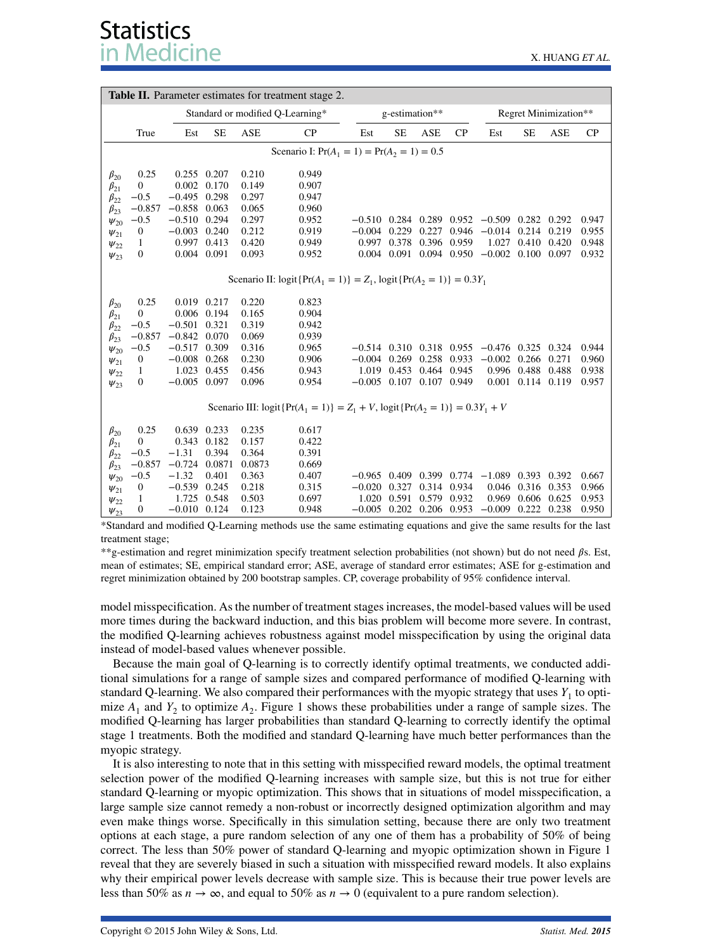<span id="page-7-0"></span>

|                                                                                      |                  |                |           |        | <b>Table II.</b> Parameter estimates for treatment stage 2.                 |                            |                   |       |       |                                  |                   |                       |       |
|--------------------------------------------------------------------------------------|------------------|----------------|-----------|--------|-----------------------------------------------------------------------------|----------------------------|-------------------|-------|-------|----------------------------------|-------------------|-----------------------|-------|
|                                                                                      |                  |                |           |        | Standard or modified Q-Learning*                                            |                            | g-estimation**    |       |       |                                  |                   | Regret Minimization** |       |
|                                                                                      | True             | Est            | <b>SE</b> | ASE    | CP                                                                          | Est                        | <b>SE</b>         | ASE   | CP    | Est                              | <b>SE</b>         | ASE                   | CP    |
|                                                                                      |                  |                |           |        | Scenario I: $Pr(A_1 = 1) = Pr(A_2 = 1) = 0.5$                               |                            |                   |       |       |                                  |                   |                       |       |
| $\beta_{20}$                                                                         | 0.25             | 0.255 0.207    |           | 0.210  | 0.949                                                                       |                            |                   |       |       |                                  |                   |                       |       |
| $\beta_{21}$                                                                         | $\theta$         | 0.002          | 0.170     | 0.149  | 0.907                                                                       |                            |                   |       |       |                                  |                   |                       |       |
| $\beta_{22}$                                                                         | $-0.5$           | $-0.495$ 0.298 |           | 0.297  | 0.947                                                                       |                            |                   |       |       |                                  |                   |                       |       |
| $\beta_{23}$                                                                         | $-0.857$         | $-0.858$       | 0.063     | 0.065  | 0.960                                                                       |                            |                   |       |       |                                  |                   |                       |       |
| $\Psi_{20}$                                                                          | $-0.5$           | $-0.510$       | 0.294     | 0.297  | 0.952                                                                       | $-0.510$ 0.284 0.289       |                   |       | 0.952 | $-0.509$ 0.282                   |                   | 0.292                 | 0.947 |
| $\Psi_{21}$                                                                          | $\mathbf{0}$     | $-0.003$       | 0.240     | 0.212  | 0.919                                                                       | $-0.004$                   | 0.229             | 0.227 | 0.946 | $-0.014$                         | 0.214             | 0.219                 | 0.955 |
| $\psi_{22}$                                                                          | 1                | 0.997          | 0.413     | 0.420  | 0.949                                                                       | 0.997                      | 0.378             | 0.396 | 0.959 | 1.027                            | 0.410             | 0.420                 | 0.948 |
| $\Psi_{23}$                                                                          | $\mathbf{0}$     | 0.004 0.091    |           | 0.093  | 0.952                                                                       |                            | 0.004 0.091       |       |       | $0.094$ $0.950$ $-0.002$ $0.100$ |                   | 0.097                 | 0.932 |
|                                                                                      |                  |                |           |        | Scenario II: $logit\{Pr(A_1 = 1)\} = Z_1$ , $logit\{Pr(A_2 = 1)\} = 0.3Y_1$ |                            |                   |       |       |                                  |                   |                       |       |
| $\beta_{20}$                                                                         | 0.25             | 0.019 0.217    |           | 0.220  | 0.823                                                                       |                            |                   |       |       |                                  |                   |                       |       |
| $\beta_{21}$                                                                         | $\theta$         | 0.006          | 0.194     | 0.165  | 0.904                                                                       |                            |                   |       |       |                                  |                   |                       |       |
| $\beta_{22}$                                                                         | $-0.5$           | $-0.501$ 0.321 |           | 0.319  | 0.942                                                                       |                            |                   |       |       |                                  |                   |                       |       |
| $\beta_{23}$                                                                         | $-0.857$         | $-0.842$ 0.070 |           | 0.069  | 0.939                                                                       |                            |                   |       |       |                                  |                   |                       |       |
| $\Psi_{20}$                                                                          | $-0.5$           | $-0.517$ 0.309 |           | 0.316  | 0.965                                                                       | $-0.514$ 0.310 0.318 0.955 |                   |       |       | $-0.476$ 0.325 0.324             |                   |                       | 0.944 |
| $\Psi_{21}$                                                                          | $\mathbf{0}$     | $-0.008$ 0.268 |           | 0.230  | 0.906                                                                       | $-0.004$ 0.269             |                   | 0.258 | 0.933 | $-0.002$                         | 0.266 0.271       |                       | 0.960 |
| $\Psi_{22}$                                                                          | 1                | 1.023          | 0.455     | 0.456  | 0.943                                                                       |                            | 1.019 0.453 0.464 |       | 0.945 | 0.996                            | 0.488             | 0.488                 | 0.938 |
| $\Psi_{23}$                                                                          | $\mathbf{0}$     | $-0.005$ 0.097 |           | 0.096  | 0.954                                                                       | $-0.005$ 0.107 0.107 0.949 |                   |       |       |                                  | 0.001 0.114 0.119 |                       | 0.957 |
| Scenario III: $logit\{Pr(A_1 = 1)\} = Z_1 + V$ , $logit\{Pr(A_2 = 1)\} = 0.3Y_1 + V$ |                  |                |           |        |                                                                             |                            |                   |       |       |                                  |                   |                       |       |
| $\beta_{20}$                                                                         | 0.25             | 0.639          | 0.233     | 0.235  | 0.617                                                                       |                            |                   |       |       |                                  |                   |                       |       |
| $\beta_{21}$                                                                         | $\mathbf{0}$     | 0.343          | 0.182     | 0.157  | 0.422                                                                       |                            |                   |       |       |                                  |                   |                       |       |
| $\beta_{22}$                                                                         | $-0.5$           | $-1.31$        | 0.394     | 0.364  | 0.391                                                                       |                            |                   |       |       |                                  |                   |                       |       |
| $\beta_{23}$                                                                         | $-0.857$         | $-0.724$       | 0.0871    | 0.0873 | 0.669                                                                       |                            |                   |       |       |                                  |                   |                       |       |
| $\Psi_{20}$                                                                          | $-0.5$           | $-1.32$        | 0.401     | 0.363  | 0.407                                                                       | $-0.965$ 0.409 0.399       |                   |       | 0.774 | $-1.089$ 0.393 0.392             |                   |                       | 0.667 |
| $\Psi_{21}$                                                                          | $\boldsymbol{0}$ | $-0.539$ 0.245 |           | 0.218  | 0.315                                                                       | $-0.020$ 0.327             |                   | 0.314 | 0.934 | 0.046                            | 0.316             | 0.353                 | 0.966 |
| $\Psi_{22}$                                                                          | 1                | 1.725          | 0.548     | 0.503  | 0.697                                                                       |                            | 1.020 0.591       | 0.579 | 0.932 | 0.969                            | 0.606             | 0.625                 | 0.953 |
| $\Psi_{23}$                                                                          | 0                | $-0.010$ 0.124 |           | 0.123  | 0.948                                                                       | $-0.005$ 0.202 0.206 0.953 |                   |       |       | $-0.009$ 0.222 0.238             |                   |                       | 0.950 |

\*Standard and modified Q-Learning methods use the same estimating equations and give the same results for the last treatment stage;

\*\*g-estimation and regret minimization specify treatment selection probabilities (not shown) but do not need  $\beta s$ . Est, mean of estimates; SE, empirical standard error; ASE, average of standard error estimates; ASE for g-estimation and regret minimization obtained by 200 bootstrap samples. CP, coverage probability of 95% confidence interval.

model misspecification. As the number of treatment stages increases, the model-based values will be used more times during the backward induction, and this bias problem will become more severe. In contrast, the modified Q-learning achieves robustness against model misspecification by using the original data instead of model-based values whenever possible.

Because the main goal of Q-learning is to correctly identify optimal treatments, we conducted additional simulations for a range of sample sizes and compared performance of modified Q-learning with standard Q-learning. We also compared their performances with the myopic strategy that uses  $Y_1$  to optimize  $A_1$  and  $Y_2$  to optimize  $A_2$ . Figure [1](#page-8-0) shows these probabilities under a range of sample sizes. The modified Q-learning has larger probabilities than standard Q-learning to correctly identify the optimal stage 1 treatments. Both the modified and standard Q-learning have much better performances than the myopic strategy.

It is also interesting to note that in this setting with misspecified reward models, the optimal treatment selection power of the modified Q-learning increases with sample size, but this is not true for either standard Q-learning or myopic optimization. This shows that in situations of model misspecification, a large sample size cannot remedy a non-robust or incorrectly designed optimization algorithm and may even make things worse. Specifically in this simulation setting, because there are only two treatment options at each stage, a pure random selection of any one of them has a probability of 50% of being correct. The less than 50% power of standard Q-learning and myopic optimization shown in Figure [1](#page-8-0) reveal that they are severely biased in such a situation with misspecified reward models. It also explains why their empirical power levels decrease with sample size. This is because their true power levels are less than 50% as  $n \to \infty$ , and equal to 50% as  $n \to 0$  (equivalent to a pure random selection).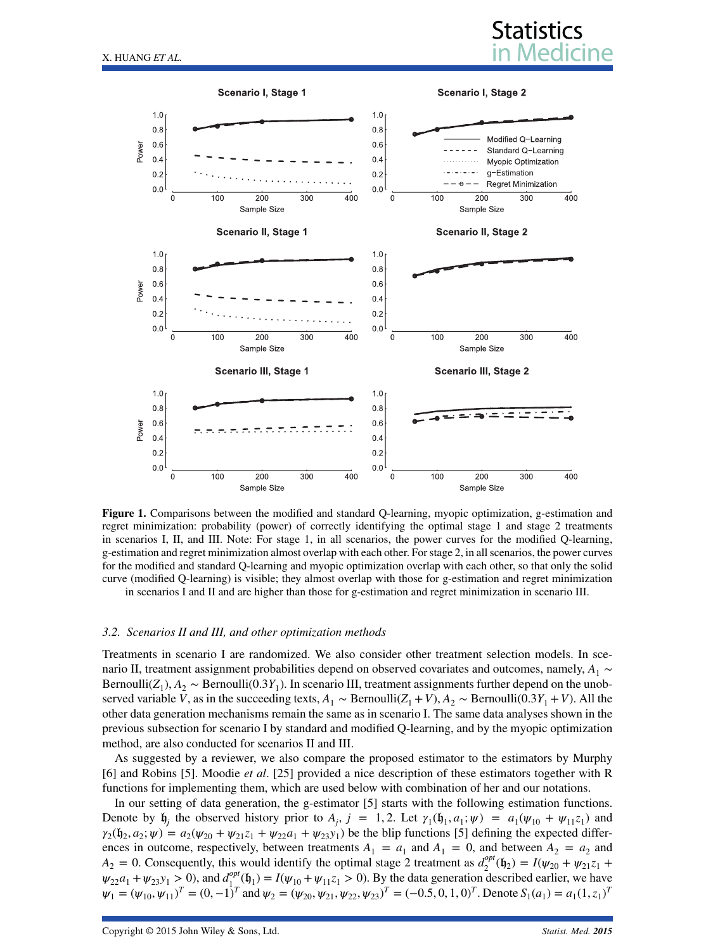

<span id="page-8-0"></span>**Figure 1.** Comparisons between the modified and standard Q-learning, myopic optimization, g-estimation and regret minimization: probability (power) of correctly identifying the optimal stage 1 and stage 2 treatments in scenarios I, II, and III. Note: For stage 1, in all scenarios, the power curves for the modified Q-learning, g-estimation and regret minimization almost overlap with each other. For stage 2, in all scenarios, the power curves for the modified and standard Q-learning and myopic optimization overlap with each other, so that only the solid curve (modified Q-learning) is visible; they almost overlap with those for g-estimation and regret minimization in scenarios I and II and are higher than those for g-estimation and regret minimization in scenario III.

#### *3.2. Scenarios II and III, and other optimization methods*

Treatments in scenario I are randomized. We also consider other treatment selection models. In scenario II, treatment assignment probabilities depend on observed covariates and outcomes, namely, *A*<sup>1</sup> ∼ Bernoulli(*Z*<sub>1</sub>), *A*<sub>2</sub> ∼ Bernoulli(0.3*Y*<sub>1</sub>). In scenario III, treatment assignments further depend on the unobserved variable *V*, as in the succeeding texts,  $A_1 \sim \text{Bernoulli}(Z_1 + V)$ ,  $A_2 \sim \text{Bernoulli}(0.3Y_1 + V)$ . All the other data generation mechanisms remain the same as in scenario I. The same data analyses shown in the previous subsection for scenario I by standard and modified Q-learning, and by the myopic optimization method, are also conducted for scenarios II and III.

As suggested by a reviewer, we also compare the proposed estimator to the estimators by Murphy [\[6\]](#page-18-2) and Robins [\[5\]](#page-18-1). Moodie *et al*. [\[25\]](#page-19-11) provided a nice description of these estimators together with R functions for implementing them, which are used below with combination of her and our notations.

In our setting of data generation, the g-estimator [\[5\]](#page-18-1) starts with the following estimation functions. Denote by  $\mathfrak{h}_j$  the observed history prior to  $A_j$ ,  $j = 1, 2$ . Let  $\gamma_1(\mathfrak{h}_1, a_1; \psi) = a_1(\psi_{10} + \psi_{11}z_1)$  and  $\gamma_2(\mathfrak{h}_2, a_2; \psi) = a_2(\psi_{20} + \psi_{21}z_1 + \psi_{22}a_1 + \psi_{23}y_1)$  be the blip functions [\[5\]](#page-18-1) defining the expected differences in outcome, respectively, between treatments  $A_1 = a_1$  and  $A_1 = 0$ , and between  $A_2 = a_2$  and  $A_2 = 0$ . Consequently, this would identify the optimal stage 2 treatment as  $d_2^{opt}(\mathfrak{h}_2) = I(\psi_{20} + \psi_{21}z_1 + \psi_{21}z_2)$  $\Psi_{22}a_1 + \Psi_{23}y_1 > 0$ , and  $d_{1}^{opt}(\mathfrak{h}_1) = I(\Psi_{10} + \Psi_{11}z_1 > 0)$ . By the data generation described earlier, we have  $\psi_1 = (\psi_{10}, \psi_{11})^T = (0, -1)^T$  and  $\psi_2 = (\psi_{20}, \psi_{21}, \psi_{22}, \psi_{23})^T = (-0.5, 0, 1, 0)^T$ . Denote  $S_1(a_1) = a_1(1, z_1)^T$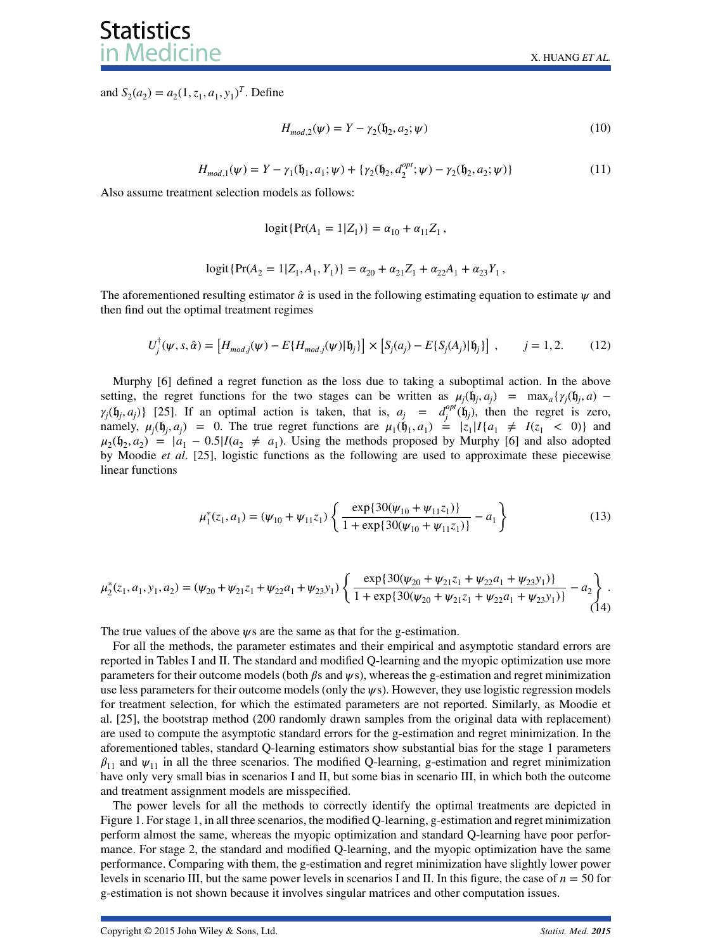and  $S_2(a_2) = a_2(1, z_1, a_1, y_1)^T$ . Define

$$
H_{mod,2}(\psi) = Y - \gamma_2(\mathfrak{h}_2, a_2; \psi) \tag{10}
$$

$$
H_{mod,1}(\psi) = Y - \gamma_1(\mathfrak{h}_1, a_1; \psi) + \{ \gamma_2(\mathfrak{h}_2, d_2^{opt}; \psi) - \gamma_2(\mathfrak{h}_2, a_2; \psi) \}
$$
(11)

Also assume treatment selection models as follows:

$$
logit\{Pr(A_1 = 1|Z_1)\} = \alpha_{10} + \alpha_{11}Z_1,
$$

$$
logit{ \{Pr(A_2 = 1 | Z_1, A_1, Y_1)\} = \alpha_{20} + \alpha_{21} Z_1 + \alpha_{22} A_1 + \alpha_{23} Y_1,
$$

The aforementioned resulting estimator  $\hat{\alpha}$  is used in the following estimating equation to estimate  $\psi$  and then find out the optimal treatment regimes

$$
U_j^{\dagger}(\psi, s, \hat{\alpha}) = \left[ H_{mod,j}(\psi) - E\{H_{mod,j}(\psi)|\mathfrak{h}_j\} \right] \times \left[ S_j(a_j) - E\{S_j(A_j)|\mathfrak{h}_j\} \right], \qquad j = 1, 2. \tag{12}
$$

Murphy [\[6\]](#page-18-2) defined a regret function as the loss due to taking a suboptimal action. In the above setting, the regret functions for the two stages can be written as  $\mu_j(\mathfrak{h}_j, a_j) = \max_a {\gamma_j(\mathfrak{h}_j, a)}$  $\gamma_j(\mathfrak{h}_j, a_j)$ } [\[25\]](#page-19-11). If an optimal action is taken, that is,  $a_j = d_j^{opt}(\mathfrak{h}_j)$ , then the regret is zero, namely,  $\mu_j(\mathbf{i}_j, a_j) = 0$ . The true regret functions are  $\mu_1(\mathbf{i}_1, a_1) = |z_1| I \{a_1 \neq I(z_1 < 0)\}\$  and  $\mu_2(\mathfrak{h}_2, a_2) = |a_1 - 0.5| I(a_2 \neq a_1)$ . Using the methods proposed by Murphy [\[6\]](#page-18-2) and also adopted by Moodie *et al*. [\[25\]](#page-19-11), logistic functions as the following are used to approximate these piecewise linear functions

$$
\mu_1^*(z_1, a_1) = (\psi_{10} + \psi_{11} z_1) \left\{ \frac{\exp\{30(\psi_{10} + \psi_{11} z_1)\}}{1 + \exp\{30(\psi_{10} + \psi_{11} z_1)\}} - a_1 \right\}
$$
(13)

$$
\mu_2^*(z_1, a_1, y_1, a_2) = (\psi_{20} + \psi_{21}z_1 + \psi_{22}a_1 + \psi_{23}y_1) \left\{ \frac{\exp\{30(\psi_{20} + \psi_{21}z_1 + \psi_{22}a_1 + \psi_{23}y_1)\}}{1 + \exp\{30(\psi_{20} + \psi_{21}z_1 + \psi_{22}a_1 + \psi_{23}y_1)\}} - a_2 \right\}.
$$
\n(14)

The true values of the above  $\psi$ s are the same as that for the g-estimation.

For all the methods, the parameter estimates and their empirical and asymptotic standard errors are reported in Tables [I](#page-6-0) and [II.](#page-7-0) The standard and modified Q-learning and the myopic optimization use more parameters for their outcome models (both  $\beta$ s and  $\psi$ s), whereas the g-estimation and regret minimization use less parameters for their outcome models (only the  $\psi$ s). However, they use logistic regression models for treatment selection, for which the estimated parameters are not reported. Similarly, as Moodie et al. [\[25\]](#page-19-11), the bootstrap method (200 randomly drawn samples from the original data with replacement) are used to compute the asymptotic standard errors for the g-estimation and regret minimization. In the aforementioned tables, standard Q-learning estimators show substantial bias for the stage 1 parameters  $\beta_{11}$  and  $\psi_{11}$  in all the three scenarios. The modified Q-learning, g-estimation and regret minimization have only very small bias in scenarios I and II, but some bias in scenario III, in which both the outcome and treatment assignment models are misspecified.

The power levels for all the methods to correctly identify the optimal treatments are depicted in Figure [1.](#page-8-0) For stage 1, in all three scenarios, the modified Q-learning, g-estimation and regret minimization perform almost the same, whereas the myopic optimization and standard Q-learning have poor performance. For stage 2, the standard and modified Q-learning, and the myopic optimization have the same performance. Comparing with them, the g-estimation and regret minimization have slightly lower power levels in scenario III, but the same power levels in scenarios I and II. In this figure, the case of  $n = 50$  for g-estimation is not shown because it involves singular matrices and other computation issues.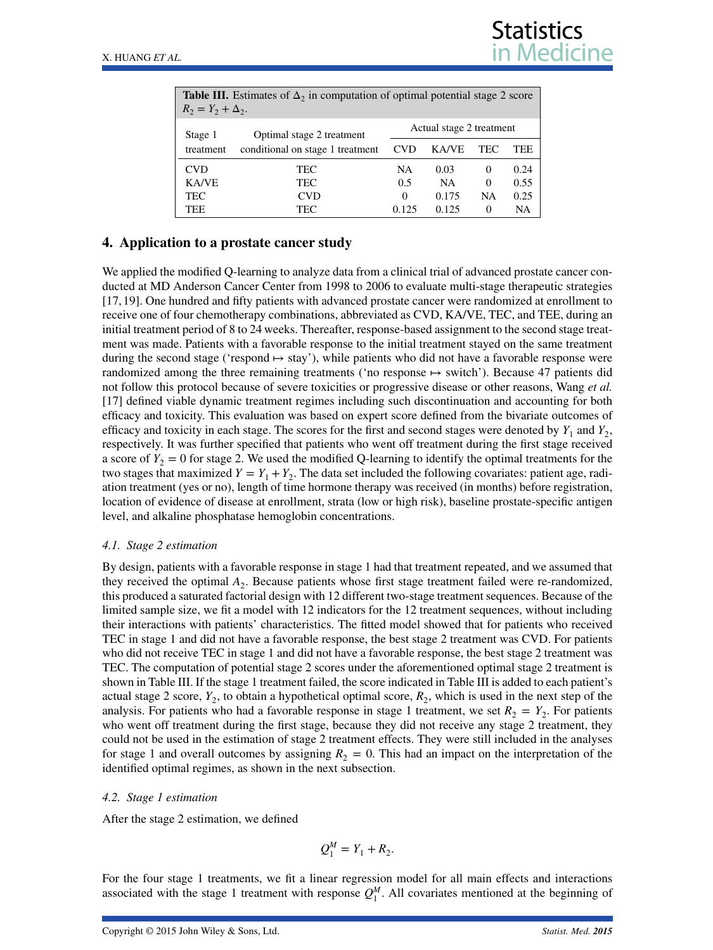<span id="page-10-1"></span>

| $R_2 = Y_2 + \Delta_2.$ | <b>Table III.</b> Estimates of $\Delta_2$ in computation of optimal potential stage 2 score |            |                          |          |            |
|-------------------------|---------------------------------------------------------------------------------------------|------------|--------------------------|----------|------------|
| Stage 1                 | Optimal stage 2 treatment                                                                   |            | Actual stage 2 treatment |          |            |
| treatment               | conditional on stage 1 treatment                                                            | <b>CVD</b> | KA/VE                    | TEC      | <b>TEE</b> |
| <b>CVD</b>              | TEC                                                                                         | <b>NA</b>  | 0.03                     | $\Omega$ | 0.24       |
| <b>KA/VE</b>            | TEC                                                                                         | 0.5        | <b>NA</b>                | $\Omega$ | 0.55       |
| TEC                     | <b>CVD</b>                                                                                  | 0          | 0.175                    | NA       | 0.25       |
| TEE                     | TEC                                                                                         | 0.125      | 0.125                    | $\Omega$ | NA         |

#### <span id="page-10-0"></span>**4. Application to a prostate cancer study**

We applied the modified Q-learning to analyze data from a clinical trial of advanced prostate cancer conducted at MD Anderson Cancer Center from 1998 to 2006 to evaluate multi-stage therapeutic strategies [\[17,](#page-19-0) [19\]](#page-19-2). One hundred and fifty patients with advanced prostate cancer were randomized at enrollment to receive one of four chemotherapy combinations, abbreviated as CVD, KA/VE, TEC, and TEE, during an initial treatment period of 8 to 24 weeks. Thereafter, response-based assignment to the second stage treatment was made. Patients with a favorable response to the initial treatment stayed on the same treatment during the second stage ('respond  $\mapsto$  stay'), while patients who did not have a favorable response were randomized among the three remaining treatments ('no response  $\mapsto$  switch'). Because 47 patients did not follow this protocol because of severe toxicities or progressive disease or other reasons, Wang *et al.* [\[17\]](#page-19-0) defined viable dynamic treatment regimes including such discontinuation and accounting for both efficacy and toxicity. This evaluation was based on expert score defined from the bivariate outcomes of efficacy and toxicity in each stage. The scores for the first and second stages were denoted by  $Y_1$  and  $Y_2$ , respectively. It was further specified that patients who went off treatment during the first stage received a score of  $Y_2 = 0$  for stage 2. We used the modified Q-learning to identify the optimal treatments for the two stages that maximized  $Y = Y_1 + Y_2$ . The data set included the following covariates: patient age, radiation treatment (yes or no), length of time hormone therapy was received (in months) before registration, location of evidence of disease at enrollment, strata (low or high risk), baseline prostate-specific antigen level, and alkaline phosphatase hemoglobin concentrations.

#### <span id="page-10-2"></span>*4.1. Stage 2 estimation*

By design, patients with a favorable response in stage 1 had that treatment repeated, and we assumed that they received the optimal  $A_2$ . Because patients whose first stage treatment failed were re-randomized, this produced a saturated factorial design with 12 different two-stage treatment sequences. Because of the limited sample size, we fit a model with 12 indicators for the 12 treatment sequences, without including their interactions with patients' characteristics. The fitted model showed that for patients who received TEC in stage 1 and did not have a favorable response, the best stage 2 treatment was CVD. For patients who did not receive TEC in stage 1 and did not have a favorable response, the best stage 2 treatment was TEC. The computation of potential stage 2 scores under the aforementioned optimal stage 2 treatment is shown in Table [III.](#page-10-1) If the stage 1 treatment failed, the score indicated in Table [III](#page-10-1) is added to each patient's actual stage 2 score,  $Y_2$ , to obtain a hypothetical optimal score,  $R_2$ , which is used in the next step of the analysis. For patients who had a favorable response in stage 1 treatment, we set  $R_2 = Y_2$ . For patients who went off treatment during the first stage, because they did not receive any stage 2 treatment, they could not be used in the estimation of stage 2 treatment effects. They were still included in the analyses for stage 1 and overall outcomes by assigning  $R_2 = 0$ . This had an impact on the interpretation of the identified optimal regimes, as shown in the next subsection.

#### *4.2. Stage 1 estimation*

After the stage 2 estimation, we defined

$$
Q_1^M = Y_1 + R_2.
$$

For the four stage 1 treatments, we fit a linear regression model for all main effects and interactions associated with the stage 1 treatment with response  $Q_1^M$ . All covariates mentioned at the beginning of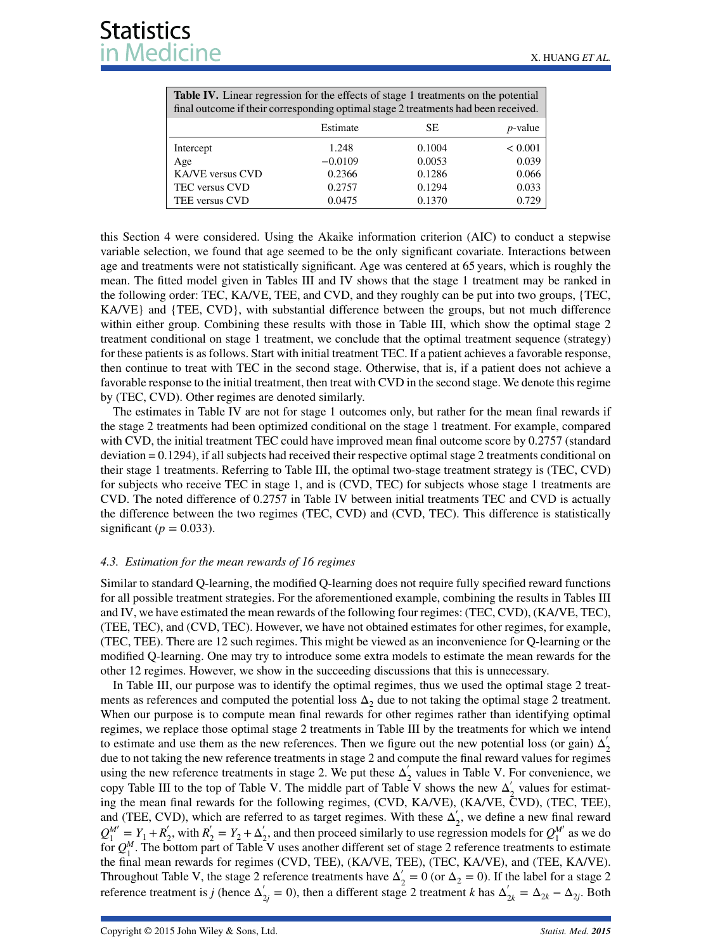<span id="page-11-1"></span>

| Table IV. Linear regression for the effects of stage 1 treatments on the potential<br>final outcome if their corresponding optimal stage 2 treatments had been received. |           |           |            |  |  |  |  |  |  |
|--------------------------------------------------------------------------------------------------------------------------------------------------------------------------|-----------|-----------|------------|--|--|--|--|--|--|
|                                                                                                                                                                          | Estimate  | <b>SE</b> | $p$ -value |  |  |  |  |  |  |
| Intercept                                                                                                                                                                | 1.248     | 0.1004    | < 0.001    |  |  |  |  |  |  |
| Age                                                                                                                                                                      | $-0.0109$ | 0.0053    | 0.039      |  |  |  |  |  |  |
| 0.066<br><b>KA/VE</b> versus CVD<br>0.1286<br>0.2366                                                                                                                     |           |           |            |  |  |  |  |  |  |
| <b>TEC</b> versus CVD                                                                                                                                                    | 0.2757    | 0.1294    | 0.033      |  |  |  |  |  |  |
| <b>TEE</b> versus CVD                                                                                                                                                    | 0.0475    | 0.1370    | 0.729      |  |  |  |  |  |  |

this Section [4](#page-10-0) were considered. Using the Akaike information criterion (AIC) to conduct a stepwise variable selection, we found that age seemed to be the only significant covariate. Interactions between age and treatments were not statistically significant. Age was centered at 65 years, which is roughly the mean. The fitted model given in Tables [III](#page-10-1) and [IV](#page-11-1) shows that the stage 1 treatment may be ranked in the following order: TEC, KA/VE, TEE, and CVD, and they roughly can be put into two groups, {TEC, KA/VE} and {TEE, CVD}, with substantial difference between the groups, but not much difference within either group. Combining these results with those in Table [III,](#page-10-1) which show the optimal stage 2 treatment conditional on stage 1 treatment, we conclude that the optimal treatment sequence (strategy) for these patients is as follows. Start with initial treatment TEC. If a patient achieves a favorable response, then continue to treat with TEC in the second stage. Otherwise, that is, if a patient does not achieve a favorable response to the initial treatment, then treat with CVD in the second stage. We denote this regime by (TEC, CVD). Other regimes are denoted similarly.

The estimates in Table [IV](#page-11-1) are not for stage 1 outcomes only, but rather for the mean final rewards if the stage 2 treatments had been optimized conditional on the stage 1 treatment. For example, compared with CVD, the initial treatment TEC could have improved mean final outcome score by 0.2757 (standard deviation = 0.1294), if all subjects had received their respective optimal stage 2 treatments conditional on their stage 1 treatments. Referring to Table [III,](#page-10-1) the optimal two-stage treatment strategy is (TEC, CVD) for subjects who receive TEC in stage 1, and is (CVD, TEC) for subjects whose stage 1 treatments are CVD. The noted difference of 0.2757 in Table [IV](#page-11-1) between initial treatments TEC and CVD is actually the difference between the two regimes (TEC, CVD) and (CVD, TEC). This difference is statistically significant ( $p = 0.033$ ).

#### <span id="page-11-0"></span>*4.3. Estimation for the mean rewards of 16 regimes*

Similar to standard Q-learning, the modified Q-learning does not require fully specified reward functions for all possible treatment strategies. For the aforementioned example, combining the results in Tables [III](#page-10-1) and [IV,](#page-11-1) we have estimated the mean rewards of the following four regimes: (TEC, CVD), (KA/VE, TEC), (TEE, TEC), and (CVD, TEC). However, we have not obtained estimates for other regimes, for example, (TEC, TEE). There are 12 such regimes. This might be viewed as an inconvenience for Q-learning or the modified Q-learning. One may try to introduce some extra models to estimate the mean rewards for the other 12 regimes. However, we show in the succeeding discussions that this is unnecessary.

In Table [III,](#page-10-1) our purpose was to identify the optimal regimes, thus we used the optimal stage 2 treatments as references and computed the potential loss  $\Delta_2$  due to not taking the optimal stage 2 treatment. When our purpose is to compute mean final rewards for other regimes rather than identifying optimal regimes, we replace those optimal stage 2 treatments in Table [III](#page-10-1) by the treatments for which we intend to estimate and use them as the new references. Then we figure out the new potential loss (or gain)  $\Delta'_2$ due to not taking the new reference treatments in stage 2 and compute the final reward values for regimes using the new reference treatments in stage 2. We put these  $\Delta'_{2}$  values in Table [V.](#page-12-0) For convenience, we copy Table [III](#page-10-1) to the top of Table [V.](#page-12-0) The middle part of Table [V](#page-12-0) shows the new  $\Delta'_{2}$  values for estimating the mean final rewards for the following regimes, (CVD, KA/VE), (KA/VE, CVD), (TEC, TEE), and (TEE, CVD), which are referred to as target regimes. With these  $\Delta'_2$ , we define a new final reward  $Q_1^{M'} = Y_1 + R'_2$ , with  $R'_2 = Y_2 + \Delta'_2$ , and then proceed similarly to use regression models for  $Q_1^{M'}$  as we do for  $Q_1^M$ . The bottom part of Table [V](#page-12-0) uses another different set of stage 2 reference treatments to estimate the final mean rewards for regimes (CVD, TEE), (KA/VE, TEE), (TEC, KA/VE), and (TEE, KA/VE). Throughout Table [V,](#page-12-0) the stage 2 reference treatments have  $\Delta'_2 = 0$  (or  $\Delta_2 = 0$ ). If the label for a stage 2 reference treatment is *j* (hence  $\Delta'_{2j} = 0$ ), then a different stage 2 treatment *k* has  $\Delta'_{2k} = \Delta_{2k} - \Delta_{2j}$ . Both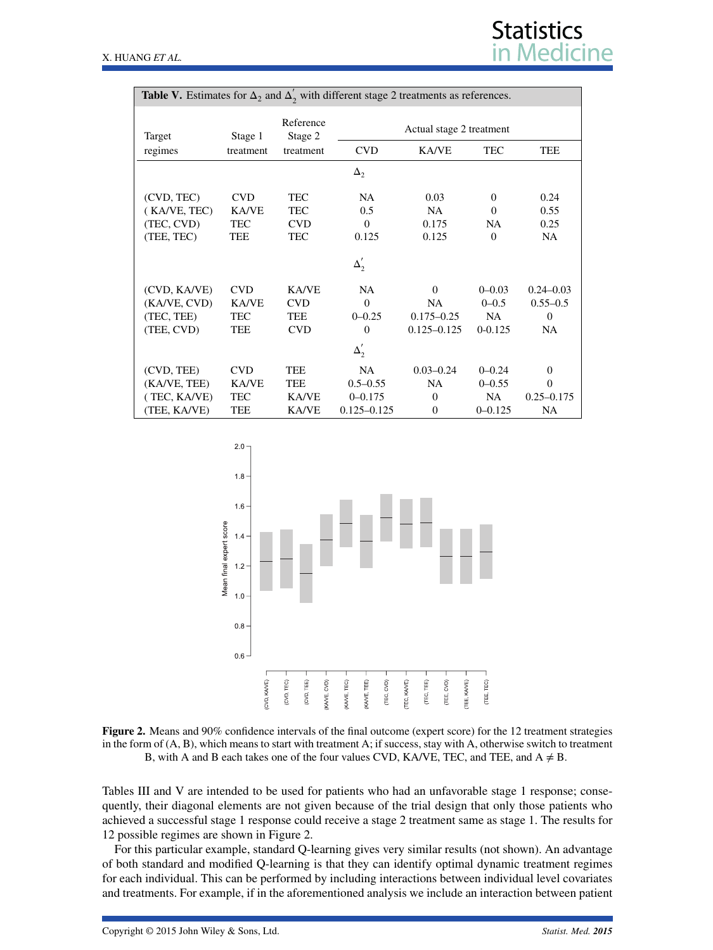<span id="page-12-0"></span>

|                            | <b>Table V.</b> Estimates for $\Delta_2$ and $\Delta'_2$ with different stage 2 treatments as references. |                      |                 |                          |                |                |  |  |  |  |  |  |
|----------------------------|-----------------------------------------------------------------------------------------------------------|----------------------|-----------------|--------------------------|----------------|----------------|--|--|--|--|--|--|
| Target                     | Stage 1                                                                                                   | Reference<br>Stage 2 |                 | Actual stage 2 treatment |                |                |  |  |  |  |  |  |
| regimes                    | treatment                                                                                                 | treatment            | <b>CVD</b>      | <b>KA/VE</b>             | <b>TEC</b>     | <b>TEE</b>     |  |  |  |  |  |  |
|                            |                                                                                                           |                      | $\Delta_{2}$    |                          |                |                |  |  |  |  |  |  |
| (CVD, TEC)                 | <b>CVD</b>                                                                                                | <b>TEC</b>           | <b>NA</b>       | 0.03                     | $\mathbf{0}$   | 0.24           |  |  |  |  |  |  |
| (KA/VE, TEC)<br>(TEC, CVD) | <b>KA/VE</b><br>TEC                                                                                       | TEC<br><b>CVD</b>    | 0.5<br>$\Omega$ | NA<br>0.175              | $\Omega$<br>NA | 0.55<br>0.25   |  |  |  |  |  |  |
| (TEE, TEC)                 | TEE                                                                                                       | TEC                  | 0.125           | 0.125                    | $\Omega$       | NA             |  |  |  |  |  |  |
|                            |                                                                                                           |                      | $\Delta'_{2}$   |                          |                |                |  |  |  |  |  |  |
| (CVD, KA/VE)               | <b>CVD</b>                                                                                                | <b>KA/VE</b>         | <b>NA</b>       | $\overline{0}$           | $0 - 0.03$     | $0.24 - 0.03$  |  |  |  |  |  |  |
| (KA/VE, CVD)               | <b>KA/VE</b>                                                                                              | <b>CVD</b>           | $\Omega$        | <b>NA</b>                | $0 - 0.5$      | $0.55 - 0.5$   |  |  |  |  |  |  |
| (TEC, TEE)                 | TEC                                                                                                       | TEE                  | $0 - 0.25$      | $0.175 - 0.25$           | NA             | $\Omega$       |  |  |  |  |  |  |
| (TEE, CVD)                 | TEE                                                                                                       | <b>CVD</b>           | $\theta$        | $0.125 - 0.125$          | $0 - 0.125$    | <b>NA</b>      |  |  |  |  |  |  |
|                            |                                                                                                           |                      | $\Delta'_{2}$   |                          |                |                |  |  |  |  |  |  |
| (CVD, TEE)                 | <b>CVD</b>                                                                                                | <b>TEE</b>           | NA              | $0.03 - 0.24$            | $0 - 0.24$     | $\overline{0}$ |  |  |  |  |  |  |
| (KA/VE, TEE)               | <b>KA/VE</b>                                                                                              | <b>TEE</b>           | $0.5 - 0.55$    | NA.                      | $0 - 0.55$     | $\overline{0}$ |  |  |  |  |  |  |
| (TEC, KA/VE)               | <b>TEC</b>                                                                                                | <b>KA/VE</b>         | $0 - 0.175$     | $\Omega$                 | NA             | $0.25 - 0.175$ |  |  |  |  |  |  |
| (TEE, KA/VE)               | TEE                                                                                                       | <b>KA/VE</b>         | $0.125 - 0.125$ | $\boldsymbol{0}$         | $0 - 0.125$    | <b>NA</b>      |  |  |  |  |  |  |



<span id="page-12-1"></span>**Figure 2.** Means and 90% confidence intervals of the final outcome (expert score) for the 12 treatment strategies in the form of (A, B), which means to start with treatment A; if success, stay with A, otherwise switch to treatment B, with A and B each takes one of the four values CVD, KA/VE, TEC, and TEE, and  $A \neq B$ .

Tables [III](#page-10-1) and [V](#page-12-0) are intended to be used for patients who had an unfavorable stage 1 response; consequently, their diagonal elements are not given because of the trial design that only those patients who achieved a successful stage 1 response could receive a stage 2 treatment same as stage 1. The results for 12 possible regimes are shown in Figure [2.](#page-12-1)

For this particular example, standard Q-learning gives very similar results (not shown). An advantage of both standard and modified Q-learning is that they can identify optimal dynamic treatment regimes for each individual. This can be performed by including interactions between individual level covariates and treatments. For example, if in the aforementioned analysis we include an interaction between patient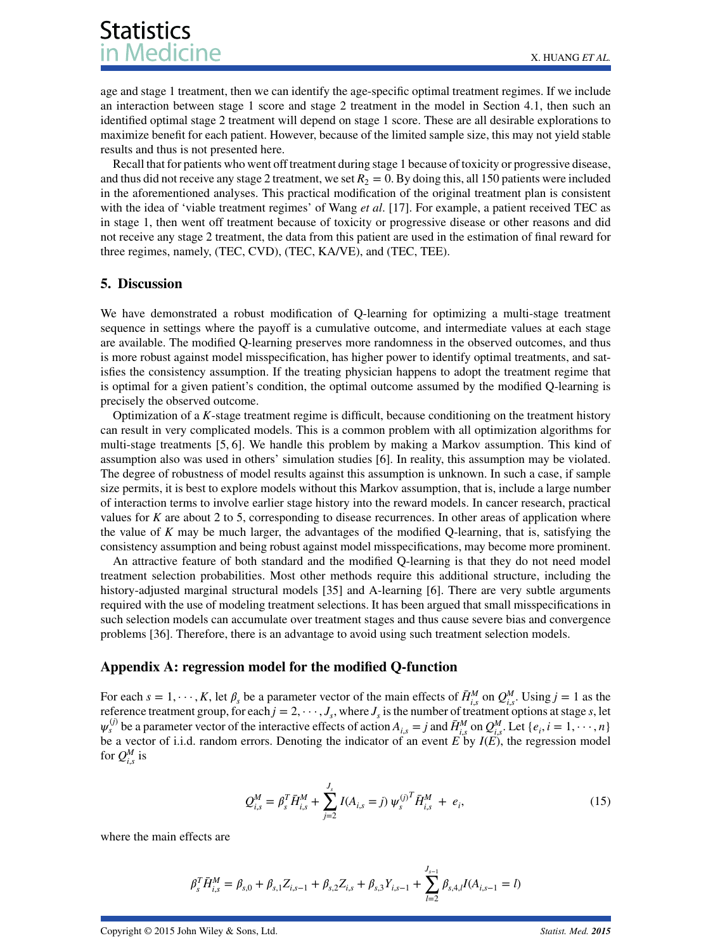age and stage 1 treatment, then we can identify the age-specific optimal treatment regimes. If we include an interaction between stage 1 score and stage 2 treatment in the model in Section [4.1,](#page-10-2) then such an identified optimal stage 2 treatment will depend on stage 1 score. These are all desirable explorations to maximize benefit for each patient. However, because of the limited sample size, this may not yield stable results and thus is not presented here.

Recall that for patients who went off treatment during stage 1 because of toxicity or progressive disease, and thus did not receive any stage 2 treatment, we set  $R_2 = 0$ . By doing this, all 150 patients were included in the aforementioned analyses. This practical modification of the original treatment plan is consistent with the idea of 'viable treatment regimes' of Wang *et al*. [\[17\]](#page-19-0). For example, a patient received TEC as in stage 1, then went off treatment because of toxicity or progressive disease or other reasons and did not receive any stage 2 treatment, the data from this patient are used in the estimation of final reward for three regimes, namely, (TEC, CVD), (TEC, KA/VE), and (TEC, TEE).

#### <span id="page-13-0"></span>**5. Discussion**

We have demonstrated a robust modification of O-learning for optimizing a multi-stage treatment sequence in settings where the payoff is a cumulative outcome, and intermediate values at each stage are available. The modified Q-learning preserves more randomness in the observed outcomes, and thus is more robust against model misspecification, has higher power to identify optimal treatments, and satisfies the consistency assumption. If the treating physician happens to adopt the treatment regime that is optimal for a given patient's condition, the optimal outcome assumed by the modified Q-learning is precisely the observed outcome.

Optimization of a *K*-stage treatment regime is difficult, because conditioning on the treatment history can result in very complicated models. This is a common problem with all optimization algorithms for multi-stage treatments [\[5,](#page-18-1) [6\]](#page-18-2). We handle this problem by making a Markov assumption. This kind of assumption also was used in others' simulation studies [\[6\]](#page-18-2). In reality, this assumption may be violated. The degree of robustness of model results against this assumption is unknown. In such a case, if sample size permits, it is best to explore models without this Markov assumption, that is, include a large number of interaction terms to involve earlier stage history into the reward models. In cancer research, practical values for *K* are about 2 to 5, corresponding to disease recurrences. In other areas of application where the value of *K* may be much larger, the advantages of the modified Q-learning, that is, satisfying the consistency assumption and being robust against model misspecifications, may become more prominent.

An attractive feature of both standard and the modified Q-learning is that they do not need model treatment selection probabilities. Most other methods require this additional structure, including the history-adjusted marginal structural models [\[35\]](#page-19-12) and A-learning [\[6\]](#page-18-2). There are very subtle arguments required with the use of modeling treatment selections. It has been argued that small misspecifications in such selection models can accumulate over treatment stages and thus cause severe bias and convergence problems [\[36\]](#page-19-13). Therefore, there is an advantage to avoid using such treatment selection models.

#### **Appendix A: regression model for the modified Q-function**

For each  $s = 1, \dots, K$ , let  $\beta_s$  be a parameter vector of the main effects of  $\bar{H}_{i,s}^M$  on  $Q_{i,s}^M$ . Using  $j = 1$  as the reference treatment group, for each  $j = 2, \dots, J_s$ , where  $J_s$  is the number of treatment options at stage *s*, let  $\psi_s^{(j)}$  be a parameter vector of the interactive effects of action  $A_{i,s} = j$  and  $\bar{H}_{i,s}^M$  on  $Q_{i,s}^M$ . Let  $\{e_i, i = 1, \dots, n\}$ be a vector of i.i.d. random errors. Denoting the indicator of an event  $E$  by  $I(E)$ , the regression model for  $Q^M_{i,s}$  is

<span id="page-13-1"></span>
$$
Q_{i,s}^M = \beta_s^T \bar{H}_{i,s}^M + \sum_{j=2}^{J_s} I(A_{i,s} = j) \psi_s^{(j)}^T \bar{H}_{i,s}^M + e_i,
$$
\n(15)

where the main effects are

$$
\beta_s^T \bar{H}_{i,s}^M = \beta_{s,0} + \beta_{s,1} Z_{i,s-1} + \beta_{s,2} Z_{i,s} + \beta_{s,3} Y_{i,s-1} + \sum_{l=2}^{J_{s-1}} \beta_{s,4,l} I(A_{i,s-1} = l)
$$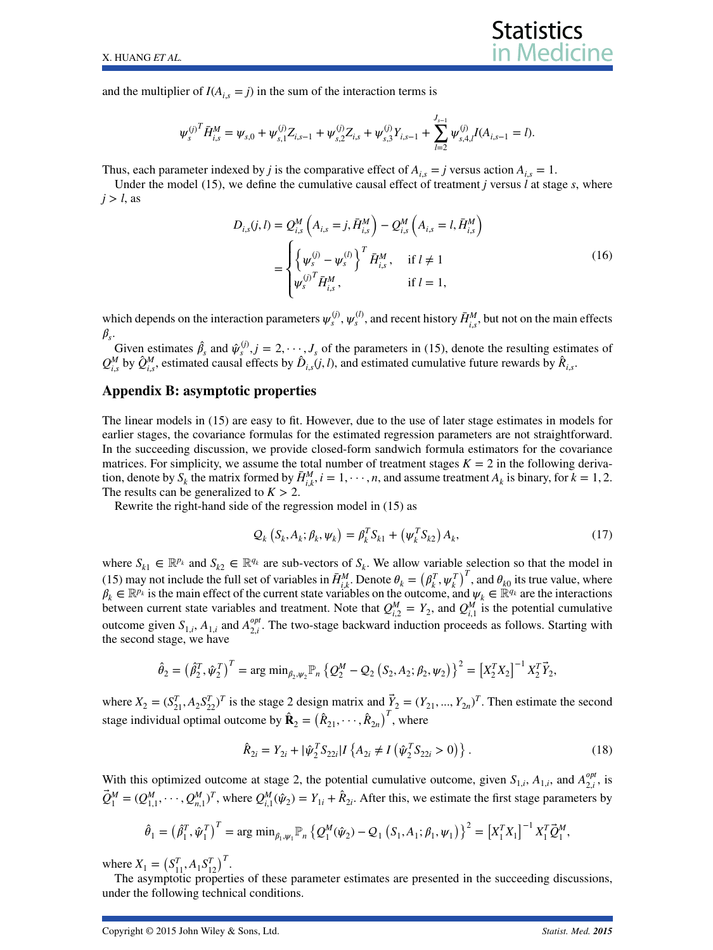and the multiplier of  $I(A_i, i = j)$  in the sum of the interaction terms is

$$
\psi_s^{(j)}^T \bar{H}_{i,s}^M = \psi_{s,0} + \psi_{s,1}^{(j)} Z_{i,s-1} + \psi_{s,2}^{(j)} Z_{i,s} + \psi_{s,3}^{(j)} Y_{i,s-1} + \sum_{l=2}^{J_{s-1}} \psi_{s,4,l}^{(j)} I(A_{i,s-1} = l).
$$

Thus, each parameter indexed by *j* is the comparative effect of  $A_{i,s} = j$  versus action  $A_{i,s} = 1$ .

Under the model [\(15\)](#page-13-1), we define the cumulative causal effect of treatment *j* versus *l* at stage *s*, where  $j > l$ , as

<span id="page-14-0"></span>
$$
D_{i,s}(j,l) = Q_{i,s}^{M} \left( A_{i,s} = j, \bar{H}_{i,s}^{M} \right) - Q_{i,s}^{M} \left( A_{i,s} = l, \bar{H}_{i,s}^{M} \right)
$$
  
= 
$$
\begin{cases} \left\{ \psi_{s}^{(j)} - \psi_{s}^{(l)} \right\}^{T} \bar{H}_{i,s}^{M}, & \text{if } l \neq 1 \\ \psi_{s}^{(j)^{T}} \bar{H}_{i,s}^{M}, & \text{if } l = 1, \end{cases}
$$
 (16)

which depends on the interaction parameters  $\psi_s^{(j)}$ ,  $\psi_s^{(l)}$ , and recent history  $\bar{H}_{i,s}^M$ , but not on the main effects  $\beta_{s}$ .

Given estimates  $\hat{\beta}_s$  and  $\hat{\psi}_s^{(j)}$ ,  $j = 2, \dots, J_s$  of the parameters in [\(15\)](#page-13-1), denote the resulting estimates of  $Q_{i,s}^M$  by  $\hat{Q}_{i,s}^M$ , estimated causal effects by  $\hat{D}_{i,s}(j,l)$ , and estimated cumulative future rewards by  $\hat{R}_{i,s}$ .

#### **Appendix B: asymptotic properties**

The linear models in [\(15\)](#page-13-1) are easy to fit. However, due to the use of later stage estimates in models for earlier stages, the covariance formulas for the estimated regression parameters are not straightforward. In the succeeding discussion, we provide closed-form sandwich formula estimators for the covariance matrices. For simplicity, we assume the total number of treatment stages  $K = 2$  in the following derivation, denote by  $S_k$  the matrix formed by  $\bar{H}^M_{i,k}$ ,  $i = 1, \dots, n$ , and assume treatment  $A_k$  is binary, for  $k = 1, 2$ . The results can be generalized to  $K > 2$ .

Rewrite the right-hand side of the regression model in [\(15\)](#page-13-1) as

<span id="page-14-1"></span>
$$
\mathcal{Q}_k\left(S_k, A_k; \beta_k, \psi_k\right) = \beta_k^T S_{k1} + \left(\psi_k^T S_{k2}\right) A_k,\tag{17}
$$

where  $S_{k1} \in \mathbb{R}^{p_k}$  and  $S_{k2} \in \mathbb{R}^{q_k}$  are sub-vectors of  $S_k$ . We allow variable selection so that the model in [\(15\)](#page-13-1) may not include the full set of variables in  $\bar{H}^M_{i,k}$ . Denote  $\theta_k = (\beta_k^T, \psi_k^T)^T$ , and  $\theta_{k0}$  its true value, where  $\beta_k \in \mathbb{R}^{p_k}$  is the main effect of the current state variables on the outcome, and  $\psi_k \in \mathbb{R}^{q_k}$  are the interactions between current state variables and treatment. Note that  $Q_{i,2}^M = Y_2$ , and  $Q_{i,1}^M$  is the potential cumulative outcome given  $S_{1,i}$ ,  $A_{1,i}$  and  $A_{2,i}^{opt}$ . The two-stage backward induction proceeds as follows. Starting with the second stage, we have

$$
\hat{\theta}_2 = (\hat{\beta}_2^T, \hat{\psi}_2^T)^T = \arg\min_{\beta_2, \psi_2} \mathbb{P}_n \left\{ Q_2^M - Q_2 \left( S_2, A_2; \beta_2, \psi_2 \right) \right\}^2 = \left[ X_2^T X_2 \right]^{-1} X_2^T \vec{Y}_2,
$$

where  $X_2 = (S_{21}^T, A_2 S_{22}^T)^T$  is the stage 2 design matrix and  $\vec{Y}_2 = (Y_{21}, ..., Y_{2n})^T$ . Then estimate the second stage individual optimal outcome by  $\hat{\mathbf{R}}_2 = (\hat{R}_{21}, \dots, \hat{R}_{2n})^T$ , where

$$
\hat{R}_{2i} = Y_{2i} + |\hat{\psi}_2^T S_{22i}| I \left\{ A_{2i} \neq I \left( \hat{\psi}_2^T S_{22i} > 0 \right) \right\}.
$$
\n(18)

With this optimized outcome at stage 2, the potential cumulative outcome, given  $S_{1,i}$ ,  $A_{1,i}$ , and  $A_{2,i}^{opt}$ , is  $\vec{Q}_1^M = (Q_{1,1}^M, \dots, Q_{n,1}^M)^T$ , where  $Q_{i,1}^M(\hat{\psi}_2) = Y_{1i} + \hat{R}_{2i}$ . After this, we estimate the first stage parameters by

$$
\hat{\theta}_1 = \left(\hat{\beta}_1^T, \hat{\psi}_1^T\right)^T = \arg\min_{\beta_1, \psi_1} \mathbb{P}_n \left\{ Q_1^M(\hat{\psi}_2) - Q_1 \left(S_1, A_1; \beta_1, \psi_1 \right) \right\}^2 = \left[X_1^T X_1\right]^{-1} X_1^T \vec{Q}_1^M,
$$

where  $X_1 = (S_{11}^T, A_1 S_{12}^T)^T$ .

The asymptotic properties of these parameter estimates are presented in the succeeding discussions, under the following technical conditions.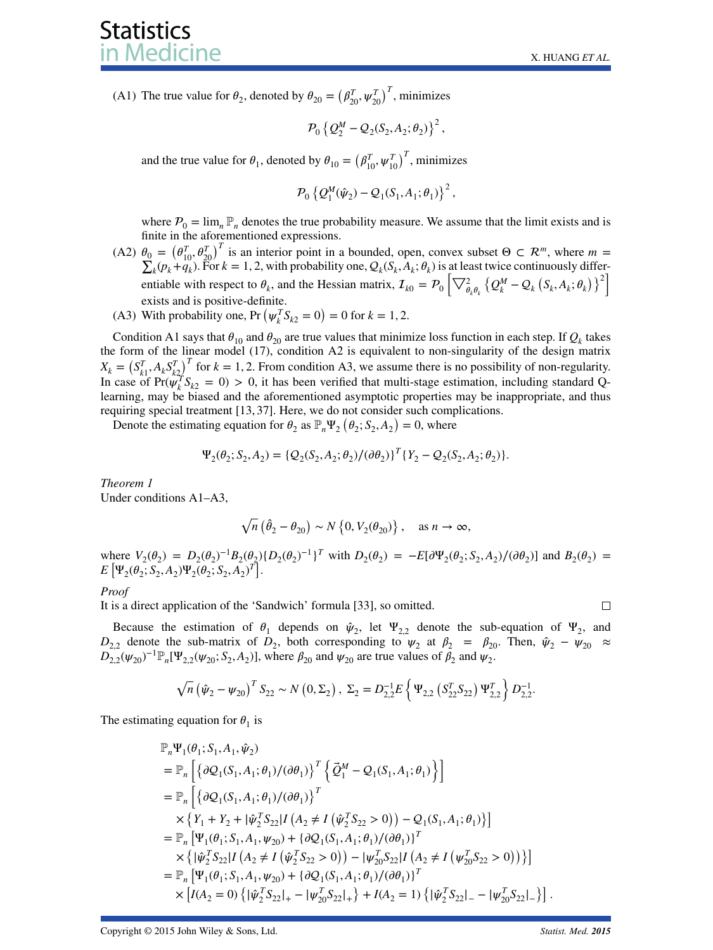(A1) The true value for  $\theta_2$ , denoted by  $\theta_{20} = (\beta_{20}^T, \psi_{20}^T)^T$ , minimizes

$$
P_0
$$
 { $Q_2^M - Q_2(S_2, A_2; \theta_2)$ }<sup>2</sup>,

and the true value for  $\theta_1$ , denoted by  $\theta_{10} = (\beta_{10}^T, \psi_{10}^T)^T$ , minimizes

$$
P_0 \left\{ Q_1^M(\hat{\psi}_2) - Q_1(S_1, A_1; \theta_1) \right\}^2
$$

where  $P_0 = \lim_{n \to \infty} P_n$  denotes the true probability measure. We assume that the limit exists and is finite in the aforementioned expressions.

- (A2)  $\theta_0 = (\theta_{10}^T, \theta_{20}^T)^T$  is an interior point in a bounded, open, convex subset  $\Theta \subset \mathcal{R}^m$ , where  $m = \sum_{k} (\rho_k + q_k)$ . For  $k = 1, 2$ , with probability one,  $\mathcal{Q}_k(S_k, A_k; \theta_k)$  is at least twice continuously differ  $\sum_{k}^{N}(p_{k}+q_{k})$ . For  $k=1,2$ , with probability one,  $\mathcal{Q}_{k}(S_{k}, A_{k}; \theta_{k})$  is at least twice continuously differentiable with respect to  $\theta_k$ , and the Hessian matrix,  $\mathcal{I}_{k0} = \mathcal{P}_0 \left[ \nabla_{\theta_k \theta_k}^2 \left\{ Q_k^M - Q_k \left( S_k, A_k; \theta_k \right) \right\}^2 \right]$ exists and is positive-definite.
- (A3) With probability one, Pr  $(\psi_k^T S_{k2} = 0) = 0$  for  $k = 1, 2$ .

Condition A1 says that  $\theta_{10}$  and  $\theta_{20}$  are true values that minimize loss function in each step. If  $Q_k$  takes the form of the linear model [\(17\)](#page-14-1), condition A2 is equivalent to non-singularity of the design matrix  $X_k = (S_{k1}^T, A_k S_{k2}^T)^T$  for  $k = 1, 2$ . From condition A3, we assume there is no possibility of non-regularity. In case of  $Pr(\psi_k^T S_{k2} = 0) > 0$ , it has been verified that multi-stage estimation, including standard Qlearning, may be biased and the aforementioned asymptotic properties may be inappropriate, and thus requiring special treatment [\[13,](#page-18-5) [37\]](#page-19-14). Here, we do not consider such complications.

Denote the estimating equation for  $\theta_2$  as  $\mathbb{P}_n \Psi_2 (\theta_2; S_2, A_2) = 0$ , where

$$
\Psi_2(\theta_2; S_2, A_2) = \{ Q_2(S_2, A_2; \theta_2) / (\partial \theta_2) \}^T \{ Y_2 - Q_2(S_2, A_2; \theta_2) \}.
$$

*Theorem 1* Under conditions A1–A3,

$$
\sqrt{n} \left( \hat{\theta}_2 - \theta_{20} \right) \sim N \left\{ 0, V_2(\theta_{20}) \right\}, \quad \text{as } n \to \infty,
$$

where  $V_2(\theta_2) = D_2(\theta_2)^{-1}B_2(\theta_2)[D_2(\theta_2)^{-1}]^T$  with  $D_2(\theta_2) = -E[\partial\Psi_2(\theta_2; S_2, A_2)/(\partial\theta_2)]$  and  $B_2(\theta_2) =$  $E\left[\Psi_2(\theta_2; S_2, A_2)\Psi_2(\theta_2; S_2, A_2)^T\right].$ 

#### *Proof*

It is a direct application of the 'Sandwich' formula [\[33\]](#page-19-8), so omitted.

$$
\Box
$$

Because the estimation of  $\theta_1$  depends on  $\hat{\psi}_2$ , let  $\Psi_{2,2}$  denote the sub-equation of  $\Psi_2$ , and  $D_{2,2}$  denote the sub-matrix of  $D_2$ , both corresponding to  $\psi_2$  at  $\beta_2 = \beta_{20}$ . Then,  $\hat{\psi}_2 - \hat{\psi}_{20} \approx$  $D_{2,2}^{7,2}(\psi_{20})^{-1} \mathbb{P}_n[\Psi_{2,2}(\psi_{20}; S_2, A_2)]$ , where  $\beta_{20}$  and  $\psi_{20}$  are true values of  $\beta_2$  and  $\psi_2$ .

$$
\sqrt{n} \left( \hat{\psi}_2 - \psi_{20} \right)^T S_{22} \sim N \left( 0, \Sigma_2 \right), \ \Sigma_2 = D_{2,2}^{-1} E \left\{ \Psi_{2,2} \left( S_{22}^T S_{22} \right) \Psi_{2,2}^T \right\} D_{2,2}^{-1}.
$$

The estimating equation for  $\theta_1$  is

$$
\mathbb{P}_{n}\Psi_{1}(\theta_{1};S_{1},A_{1},\hat{\psi}_{2})
$$
\n
$$
= \mathbb{P}_{n}\left[\left\{\partial\mathcal{Q}_{1}(S_{1},A_{1};\theta_{1})/(\partial\theta_{1})\right\}^{T}\left\{\vec{Q}_{1}^{M}-\mathcal{Q}_{1}(S_{1},A_{1};\theta_{1})\right\}\right]
$$
\n
$$
= \mathbb{P}_{n}\left[\left\{\partial\mathcal{Q}_{1}(S_{1},A_{1};\theta_{1})/(\partial\theta_{1})\right\}^{T}
$$
\n
$$
\times\left\{Y_{1}+Y_{2}+|\hat{\psi}_{2}^{T}S_{22}|I(A_{2}\neq I(\hat{\psi}_{2}^{T}S_{22}>0))-\mathcal{Q}_{1}(S_{1},A_{1};\theta_{1})\right\}\right]
$$
\n
$$
= \mathbb{P}_{n}\left[\Psi_{1}(\theta_{1};S_{1},A_{1},\psi_{20})+\left\{\partial\mathcal{Q}_{1}(S_{1},A_{1};\theta_{1})/(\partial\theta_{1})\right\}^{T}
$$
\n
$$
\times\left\{|\hat{\psi}_{2}^{T}S_{22}|I(A_{2}\neq I(\hat{\psi}_{2}^{T}S_{22}>0)) - |\psi_{20}^{T}S_{22}|I(A_{2}\neq I(\psi_{20}^{T}S_{22}>0))\right\}\right]
$$
\n
$$
= \mathbb{P}_{n}\left[\Psi_{1}(\theta_{1};S_{1},A_{1},\psi_{20}) + \left\{\partial\mathcal{Q}_{1}(S_{1},A_{1};\theta_{1})/(\partial\theta_{1})\right\}^{T}
$$
\n
$$
\times\left[I(A_{2}=0)\left\{\left|\hat{\psi}_{2}^{T}S_{22}\right|_{+} - |\psi_{20}^{T}S_{22}|_{+}\right\} + I(A_{2}=1)\left\{\left|\hat{\psi}_{2}^{T}S_{22}\right|_{-} - |\psi_{20}^{T}S_{22}|_{-}\right\}\right].
$$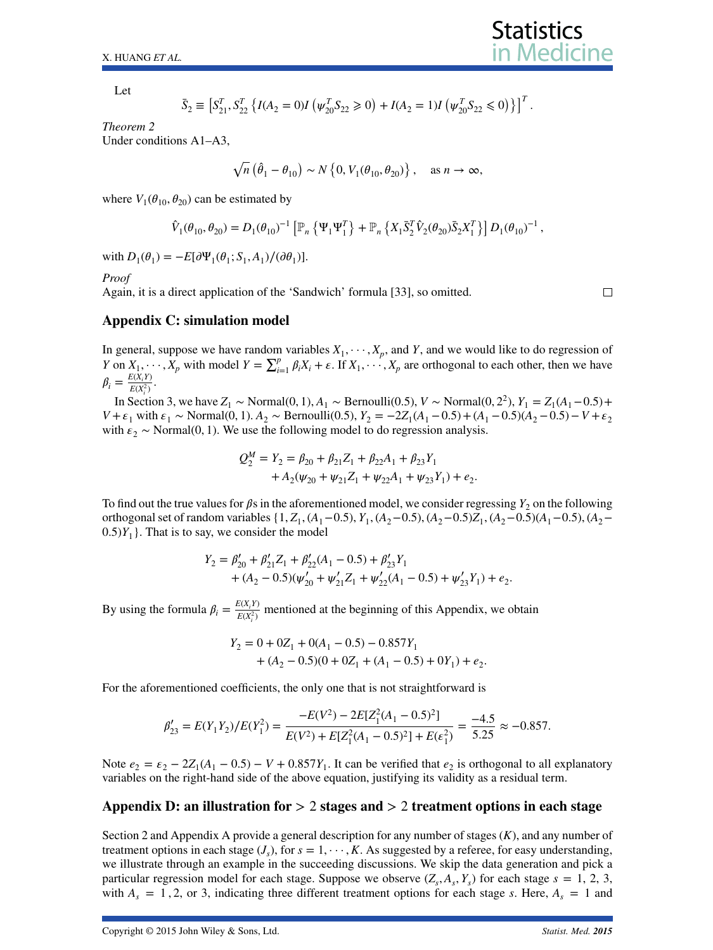Let

$$
\bar{S}_2 \equiv \left[ S_{21}^T, S_{22}^T \left\{ I(A_2 = 0) I \left( \psi_{20}^T S_{22} \ge 0 \right) + I(A_2 = 1) I \left( \psi_{20}^T S_{22} \le 0 \right) \right\} \right]^T.
$$

*Theorem 2*

Under conditions A1–A3,

$$
\sqrt{n} \left( \hat{\theta}_1 - \theta_{10} \right) \sim N \left\{ 0, V_1(\theta_{10}, \theta_{20}) \right\}, \quad \text{as } n \to \infty,
$$

where  $V_1(\theta_{10}, \theta_{20})$  can be estimated by

$$
\hat{V}_1(\theta_{10},\theta_{20})=D_1(\theta_{10})^{-1}\left[\mathbb{P}_n\left\{\Psi_1\Psi_1^T\right\}+\mathbb{P}_n\left\{X_1\bar{S}_2^T\hat{V}_2(\theta_{20})\bar{S}_2X_1^T\right\}\right]D_1(\theta_{10})^{-1}\,,
$$

with  $D_1(\theta_1)=-E[\partial \Psi_1(\theta_1; S_1, A_1)/(\partial \theta_1)].$ 

#### *Proof*

Again, it is a direct application of the 'Sandwich' formula [\[33\]](#page-19-8), so omitted.

 $\Box$ 

#### **Appendix C: simulation model**

In general, suppose we have random variables  $X_1, \dots, X_p$ , and *Y*, and we would like to do regression of *Y* on  $X_1, \dots, X_p$  with model  $Y = \sum_{i=1}^p \beta_i X_i + \varepsilon$ . If  $X_1, \dots, X_p$  are orthogonal to each other, then we have  $\beta_i = \frac{E(X_iY)}{E(X_i^2)}$ .

In Section [3,](#page-4-0) we have  $Z_1$  ∼ Normal(0, 1),  $A_1$  ∼ Bernoulli(0*.*5),  $V$  ∼ Normal(0, 2<sup>2</sup>),  $Y_1 = Z_1(A_1 - 0.5) +$ *V* +  $\varepsilon_1$  with  $\varepsilon_1$  ∼ Normal(0, 1).  $A_2$  ∼ Bernoulli(0*.*5),  $Y_2 = -2Z_1(A_1 - 0.5) + (A_1 - 0.5)(A_2 - 0.5) - V + \varepsilon_2$ with  $\varepsilon_2$  ∼ Normal(0, 1). We use the following model to do regression analysis.

$$
Q_2^M = Y_2 = \beta_{20} + \beta_{21}Z_1 + \beta_{22}A_1 + \beta_{23}Y_1
$$
  
+  $A_2(\psi_{20} + \psi_{21}Z_1 + \psi_{22}A_1 + \psi_{23}Y_1) + e_2$ .

To find out the true values for  $\beta s$  in the aforementioned model, we consider regressing  $Y_2$  on the following orthogonal set of random variables  $\{1, Z_1, (A_1 - 0.5), Y_1, (A_2 - 0.5), (A_2 - 0.5)Z_1, (A_2 - 0.5), (A_1 - 0.5), (A_2 - 0.5)\}$  $(0.5)Y_1$ . That is to say, we consider the model

$$
Y_2 = \beta'_{20} + \beta'_{21}Z_1 + \beta'_{22}(A_1 - 0.5) + \beta'_{23}Y_1
$$
  
+  $(A_2 - 0.5)(\psi'_{20} + \psi'_{21}Z_1 + \psi'_{22}(A_1 - 0.5) + \psi'_{23}Y_1) + e_2.$ 

By using the formula  $\beta_i = \frac{E(X_i Y)}{E(X_i^2)}$  mentioned at the beginning of this Appendix, we obtain

$$
Y_2 = 0 + 0Z_1 + 0(A_1 - 0.5) - 0.857Y_1
$$
  
+  $(A_2 - 0.5)(0 + 0Z_1 + (A_1 - 0.5) + 0Y_1) + e_2$ .

For the aforementioned coefficients, the only one that is not straightforward is

$$
\beta'_{23} = E(Y_1 Y_2) / E(Y_1^2) = \frac{-E(V^2) - 2E[Z_1^2 (A_1 - 0.5)^2]}{E(V^2) + E[Z_1^2 (A_1 - 0.5)^2] + E(\epsilon_1^2)} = \frac{-4.5}{5.25} \approx -0.857.
$$

Note  $e_2 = \epsilon_2 - 2Z_1(A_1 - 0.5) - V + 0.857Y_1$ . It can be verified that  $e_2$  is orthogonal to all explanatory variables on the right-hand side of the above equation, justifying its validity as a residual term.

#### **Appendix D: an illustration for** *>* 2 **stages and** *>* 2 **treatment options in each stage**

Section [2](#page-1-0) and Appendix A provide a general description for any number of stages (*K*), and any number of treatment options in each stage  $(J_s)$ , for  $s = 1, \dots, K$ . As suggested by a referee, for easy understanding, we illustrate through an example in the succeeding discussions. We skip the data generation and pick a particular regression model for each stage. Suppose we observe  $(Z_s, A_s, Y_s)$  for each stage  $s = 1, 2, 3$ , with  $A_s = 1, 2,$  or 3, indicating three different treatment options for each stage *s*. Here,  $A_s = 1$  and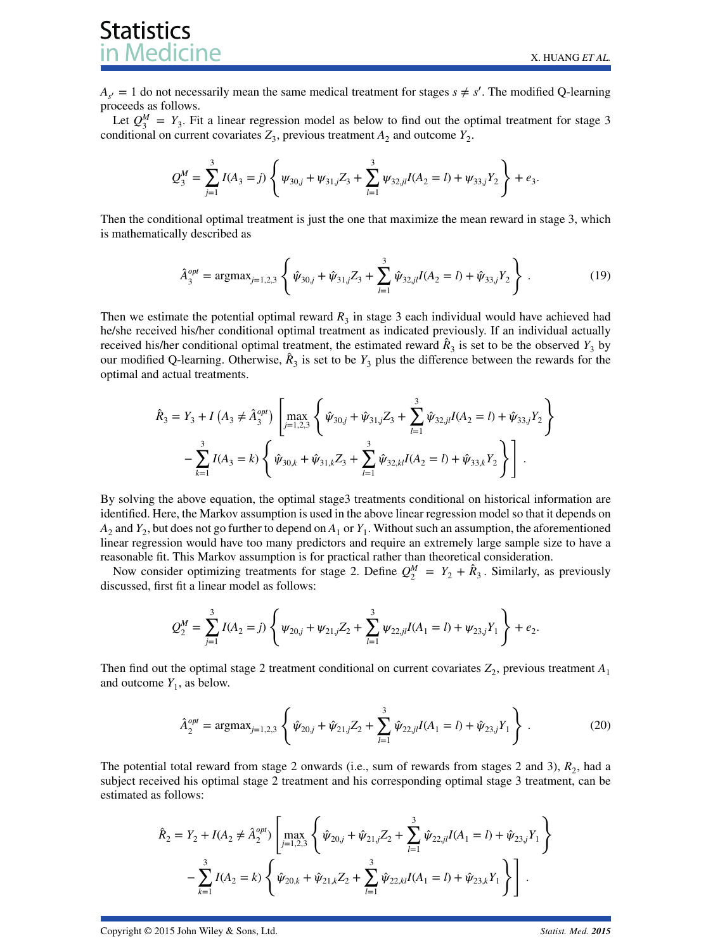$A_{s'} = 1$  do not necessarily mean the same medical treatment for stages  $s \neq s'$ . The modified Q-learning proceeds as follows.

Let  $Q_3^M = Y_3$ . Fit a linear regression model as below to find out the optimal treatment for stage 3 conditional on current covariates  $Z_3$ , previous treatment  $A_2$  and outcome  $Y_2$ .

$$
Q_3^M = \sum_{j=1}^3 I(A_3 = j) \left\{ \psi_{30,j} + \psi_{31,j} Z_3 + \sum_{l=1}^3 \psi_{32,jl} I(A_2 = l) + \psi_{33,j} Y_2 \right\} + e_3.
$$

Then the conditional optimal treatment is just the one that maximize the mean reward in stage 3, which is mathematically described as

<span id="page-17-1"></span>
$$
\hat{A}_{3}^{opt} = \operatorname{argmax}_{j=1,2,3} \left\{ \hat{\psi}_{30,j} + \hat{\psi}_{31,j} Z_3 + \sum_{l=1}^{3} \hat{\psi}_{32,jl} I(A_2 = l) + \hat{\psi}_{33,j} Y_2 \right\}.
$$
 (19)

Then we estimate the potential optimal reward  $R_3$  in stage 3 each individual would have achieved had he/she received his/her conditional optimal treatment as indicated previously. If an individual actually received his/her conditional optimal treatment, the estimated reward  $\hat{R}_3$  is set to be the observed  $Y_3$  by our modified Q-learning. Otherwise,  $\hat{R}_3$  is set to be  $Y_3$  plus the difference between the rewards for the optimal and actual treatments.

$$
\hat{R}_3 = Y_3 + I (A_3 \neq \hat{A}_3^{opt}) \left[ \max_{j=1,2,3} \left\{ \hat{\psi}_{30,j} + \hat{\psi}_{31,j} Z_3 + \sum_{l=1}^3 \hat{\psi}_{32,jl} I(A_2 = l) + \hat{\psi}_{33,j} Y_2 \right\} - \sum_{k=1}^3 I(A_3 = k) \left\{ \hat{\psi}_{30,k} + \hat{\psi}_{31,k} Z_3 + \sum_{l=1}^3 \hat{\psi}_{32,kl} I(A_2 = l) + \hat{\psi}_{33,k} Y_2 \right\} \right].
$$

By solving the above equation, the optimal stage3 treatments conditional on historical information are identified. Here, the Markov assumption is used in the above linear regression model so that it depends on  $A_2$  and  $Y_2$ , but does not go further to depend on  $A_1$  or  $Y_1$ . Without such an assumption, the aforementioned linear regression would have too many predictors and require an extremely large sample size to have a reasonable fit. This Markov assumption is for practical rather than theoretical consideration.

Now consider optimizing treatments for stage 2. Define  $Q_2^M = Y_2 + \hat{R}_3$ . Similarly, as previously discussed, first fit a linear model as follows:

$$
Q_2^M=\sum_{j=1}^3I(A_2=j)\left\{\psi_{20,j}+\psi_{21,j}Z_2+\sum_{l=1}^3\psi_{22,jl}I(A_1=l)+\psi_{23,j}Y_1\right\}+e_2.
$$

Then find out the optimal stage 2 treatment conditional on current covariates  $Z_2$ , previous treatment  $A_1$ and outcome  $Y_1$ , as below.

<span id="page-17-0"></span>
$$
\hat{A}_2^{opt} = \operatorname{argmax}_{j=1,2,3} \left\{ \hat{\psi}_{20,j} + \hat{\psi}_{21,j} Z_2 + \sum_{l=1}^3 \hat{\psi}_{22,jl} I(A_1 = l) + \hat{\psi}_{23,j} Y_1 \right\}.
$$
 (20)

The potential total reward from stage 2 onwards (i.e., sum of rewards from stages 2 and 3),  $R_2$ , had a subject received his optimal stage 2 treatment and his corresponding optimal stage 3 treatment, can be estimated as follows:

$$
\hat{R}_2 = Y_2 + I(A_2 \neq \hat{A}_2^{opt}) \left[ \max_{j=1,2,3} \left\{ \hat{\psi}_{20,j} + \hat{\psi}_{21,j} Z_2 + \sum_{l=1}^3 \hat{\psi}_{22,jl} I(A_1 = l) + \hat{\psi}_{23,j} Y_1 \right\} - \sum_{k=1}^3 I(A_2 = k) \left\{ \hat{\psi}_{20,k} + \hat{\psi}_{21,k} Z_2 + \sum_{l=1}^3 \hat{\psi}_{22,kl} I(A_1 = l) + \hat{\psi}_{23,k} Y_1 \right\} \right].
$$

Copyright © 2015 John Wiley & Sons, Ltd. *Statist. Med. 2015*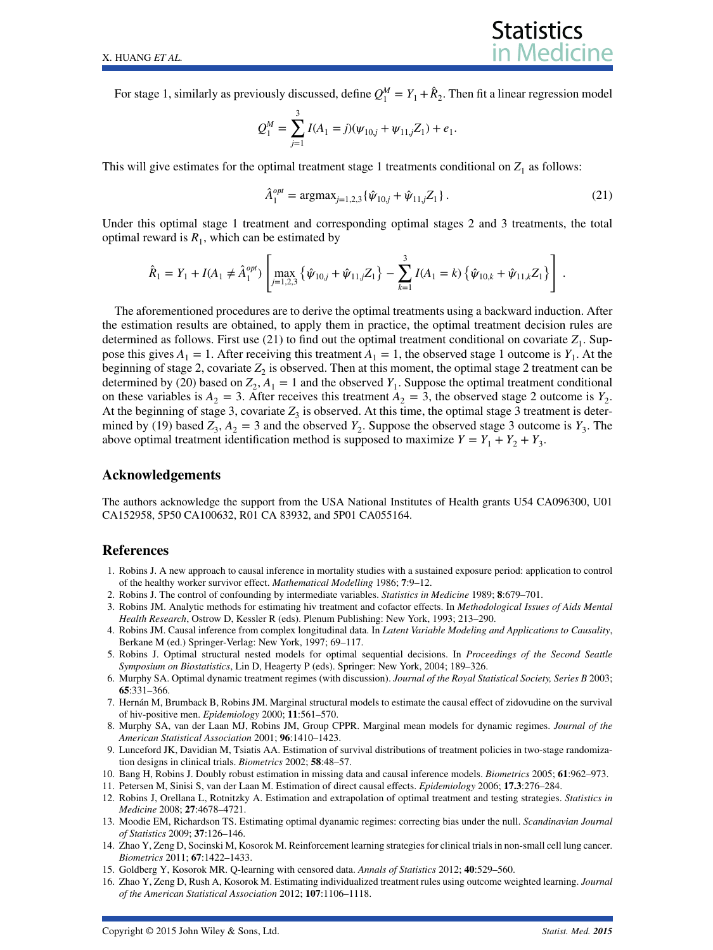

For stage 1, similarly as previously discussed, define  $Q_1^M = Y_1 + \hat{R}_2$ . Then fit a linear regression model

$$
Q_1^M = \sum_{j=1}^3 I(A_1 = j)(\psi_{10,j} + \psi_{11,j} Z_1) + e_1.
$$

This will give estimates for the optimal treatment stage 1 treatments conditional on  $Z_1$  as follows:

<span id="page-18-6"></span>
$$
\hat{A}_1^{opt} = \operatorname{argmax}_{j=1,2,3} \{ \hat{\psi}_{10,j} + \hat{\psi}_{11,j} Z_1 \}.
$$
\n(21)

Under this optimal stage 1 treatment and corresponding optimal stages 2 and 3 treatments, the total optimal reward is  $R_1$ , which can be estimated by

$$
\hat{R}_1 = Y_1 + I(A_1 \neq \hat{A}_1^{opt}) \left[ \max_{j=1,2,3} \left\{ \hat{\psi}_{10,j} + \hat{\psi}_{11,j} Z_1 \right\} - \sum_{k=1}^3 I(A_1 = k) \left\{ \hat{\psi}_{10,k} + \hat{\psi}_{11,k} Z_1 \right\} \right].
$$

The aforementioned procedures are to derive the optimal treatments using a backward induction. After the estimation results are obtained, to apply them in practice, the optimal treatment decision rules are determined as follows. First use [\(21\)](#page-18-6) to find out the optimal treatment conditional on covariate  $Z_1$ . Suppose this gives  $A_1 = 1$ . After receiving this treatment  $A_1 = 1$ , the observed stage 1 outcome is  $Y_1$ . At the beginning of stage 2, covariate  $Z_2$  is observed. Then at this moment, the optimal stage 2 treatment can be determined by [\(20\)](#page-17-0) based on  $Z_2$ ,  $A_1 = 1$  and the observed  $Y_1$ . Suppose the optimal treatment conditional on these variables is  $A_2 = 3$ . After receives this treatment  $A_2 = 3$ , the observed stage 2 outcome is  $Y_2$ . At the beginning of stage 3, covariate  $Z_3$  is observed. At this time, the optimal stage 3 treatment is deter-mined by [\(19\)](#page-17-1) based  $Z_3$ ,  $A_2 = 3$  and the observed *Y*<sub>2</sub>. Suppose the observed stage 3 outcome is *Y*<sub>3</sub>. The above optimal treatment identification method is supposed to maximize  $Y = Y_1 + Y_2 + Y_3$ .

#### **Acknowledgements**

The authors acknowledge the support from the USA National Institutes of Health grants U54 CA096300, U01 CA152958, 5P50 CA100632, R01 CA 83932, and 5P01 CA055164.

#### **References**

- <span id="page-18-0"></span>1. Robins J. A new approach to causal inference in mortality studies with a sustained exposure period: application to control of the healthy worker survivor effect. *Mathematical Modelling* 1986; **7**:9–12.
- 2. Robins J. The control of confounding by intermediate variables. *Statistics in Medicine* 1989; **8**:679–701.
- 3. Robins JM. Analytic methods for estimating hiv treatment and cofactor effects. In *Methodological Issues of Aids Mental Health Research*, Ostrow D, Kessler R (eds). Plenum Publishing: New York, 1993; 213–290.
- 4. Robins JM. Causal inference from complex longitudinal data. In *Latent Variable Modeling and Applications to Causality*, Berkane M (ed.) Springer-Verlag: New York, 1997; 69–117.
- <span id="page-18-1"></span>5. Robins J. Optimal structural nested models for optimal sequential decisions. In *Proceedings of the Second Seattle Symposium on Biostatistics*, Lin D, Heagerty P (eds). Springer: New York, 2004; 189–326.
- <span id="page-18-2"></span>6. Murphy SA. Optimal dynamic treatment regimes (with discussion). *Journal of the Royal Statistical Society, Series B* 2003; **65**:331–366.
- <span id="page-18-3"></span>7. Hernán M, Brumback B, Robins JM. Marginal structural models to estimate the causal effect of zidovudine on the survival of hiv-positive men. *Epidemiology* 2000; **11**:561–570.
- 8. Murphy SA, van der Laan MJ, Robins JM, Group CPPR. Marginal mean models for dynamic regimes. *Journal of the American Statistical Association* 2001; **96**:1410–1423.
- 9. Lunceford JK, Davidian M, Tsiatis AA. Estimation of survival distributions of treatment policies in two-stage randomization designs in clinical trials. *Biometrics* 2002; **58**:48–57.
- 10. Bang H, Robins J. Doubly robust estimation in missing data and causal inference models. *Biometrics* 2005; **61**:962–973.
- 11. Petersen M, Sinisi S, van der Laan M. Estimation of direct causal effects. *Epidemiology* 2006; **17.3**:276–284.
- 12. Robins J, Orellana L, Rotnitzky A. Estimation and extrapolation of optimal treatment and testing strategies. *Statistics in Medicine* 2008; **27**:4678–4721.
- <span id="page-18-5"></span>13. Moodie EM, Richardson TS. Estimating optimal dyanamic regimes: correcting bias under the null. *Scandinavian Journal of Statistics* 2009; **37**:126–146.
- 14. Zhao Y, Zeng D, Socinski M, Kosorok M. Reinforcement learning strategies for clinical trials in non-small cell lung cancer. *Biometrics* 2011; **67**:1422–1433.
- 15. Goldberg Y, Kosorok MR. Q-learning with censored data. *Annals of Statistics* 2012; **40**:529–560.
- <span id="page-18-4"></span>16. Zhao Y, Zeng D, Rush A, Kosorok M. Estimating individualized treatment rules using outcome weighted learning. *Journal of the American Statistical Association* 2012; **107**:1106–1118.